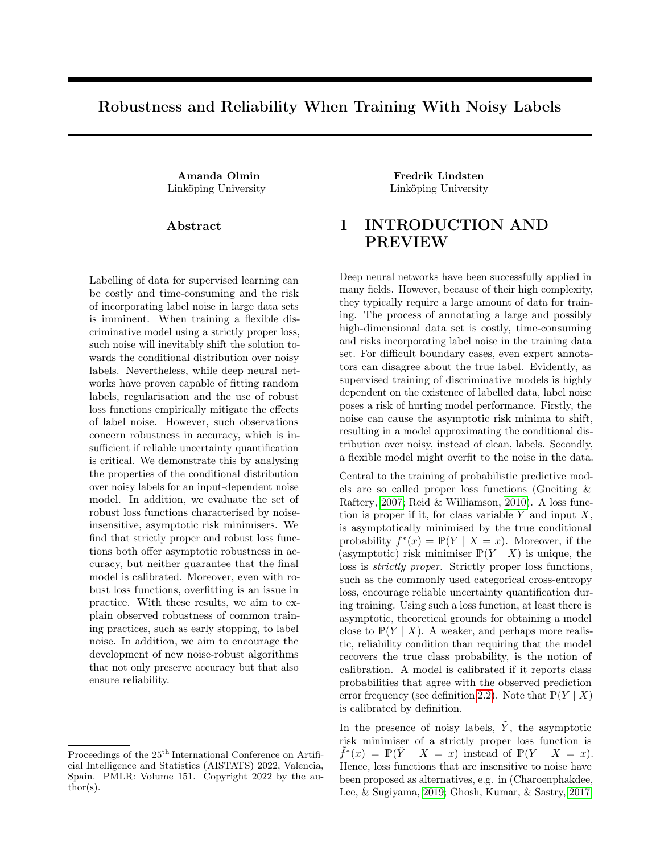# Robustness and Reliability When Training With Noisy Labels

Abstract

Labelling of data for supervised learning can be costly and time-consuming and the risk of incorporating label noise in large data sets is imminent. When training a flexible discriminative model using a strictly proper loss, such noise will inevitably shift the solution towards the conditional distribution over noisy labels. Nevertheless, while deep neural networks have proven capable of fitting random labels, regularisation and the use of robust loss functions empirically mitigate the effects of label noise. However, such observations concern robustness in accuracy, which is insufficient if reliable uncertainty quantification is critical. We demonstrate this by analysing the properties of the conditional distribution over noisy labels for an input-dependent noise model. In addition, we evaluate the set of robust loss functions characterised by noiseinsensitive, asymptotic risk minimisers. We find that strictly proper and robust loss functions both offer asymptotic robustness in accuracy, but neither guarantee that the final model is calibrated. Moreover, even with robust loss functions, overfitting is an issue in practice. With these results, we aim to explain observed robustness of common training practices, such as early stopping, to label noise. In addition, we aim to encourage the development of new noise-robust algorithms that not only preserve accuracy but that also ensure reliability.

Proceedings of the  $25^{\mathrm{th}}$  International Conference on Artificial Intelligence and Statistics (AISTATS) 2022, Valencia, Spain. PMLR: Volume 151. Copyright 2022 by the author(s).

Amanda Olmin Fredrik Lindsten Linköping University Linköping University

# 1 INTRODUCTION AND PREVIEW

Deep neural networks have been successfully applied in many fields. However, because of their high complexity, they typically require a large amount of data for training. The process of annotating a large and possibly high-dimensional data set is costly, time-consuming and risks incorporating label noise in the training data set. For difficult boundary cases, even expert annotators can disagree about the true label. Evidently, as supervised training of discriminative models is highly dependent on the existence of labelled data, label noise poses a risk of hurting model performance. Firstly, the noise can cause the asymptotic risk minima to shift, resulting in a model approximating the conditional distribution over noisy, instead of clean, labels. Secondly, a flexible model might overfit to the noise in the data.

Central to the training of probabilistic predictive models are so called proper loss functions (Gneiting & Raftery, [2007;](#page-8-0) Reid & Williamson, [2010\)](#page-9-0). A loss function is proper if it, for class variable  $Y$  and input  $X$ , is asymptotically minimised by the true conditional probability  $f^*(x) = \mathbb{P}(Y | X = x)$ . Moreover, if the (asymptotic) risk minimiser  $P(Y | X)$  is unique, the loss is strictly proper. Strictly proper loss functions, such as the commonly used categorical cross-entropy loss, encourage reliable uncertainty quantification during training. Using such a loss function, at least there is asymptotic, theoretical grounds for obtaining a model close to  $\mathbb{P}(Y | X)$ . A weaker, and perhaps more realistic, reliability condition than requiring that the model recovers the true class probability, is the notion of calibration. A model is calibrated if it reports class probabilities that agree with the observed prediction error frequency (see definition [2.2\)](#page-3-0). Note that  $\mathbb{P}(Y | X)$ is calibrated by definition.

In the presence of noisy labels,  $\tilde{Y}$ , the asymptotic risk minimiser of a strictly proper loss function is  $\tilde{f}^*(x) = \mathbb{P}(\tilde{Y} | X = x)$  instead of  $\mathbb{P}(Y | X = x)$ . Hence, loss functions that are insensitive to noise have been proposed as alternatives, e.g. in (Charoenphakdee, Lee, & Sugiyama, [2019;](#page-8-1) Ghosh, Kumar, & Sastry, [2017;](#page-8-2)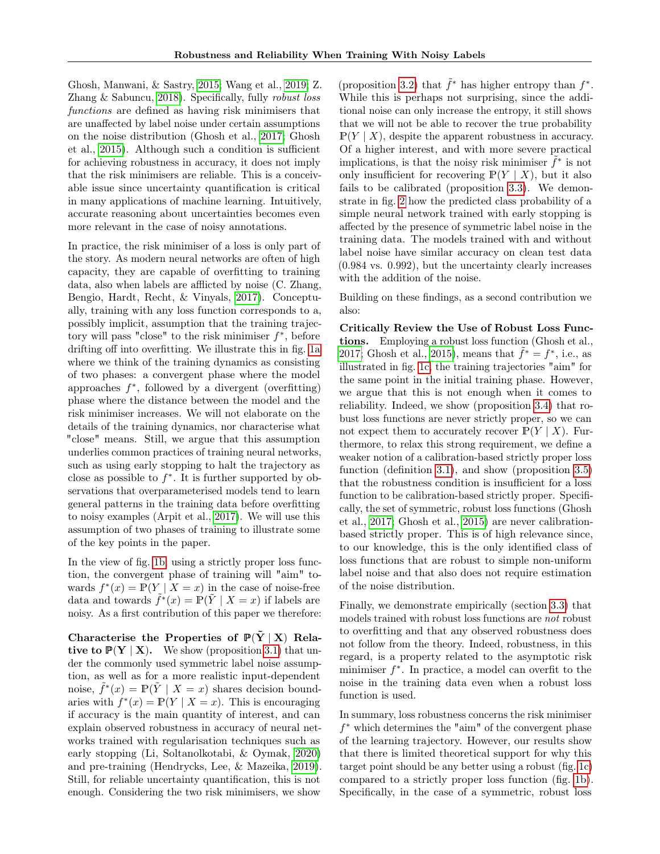Ghosh, Manwani, & Sastry, [2015;](#page-8-3) Wang et al., [2019;](#page-9-1) Z. Zhang & Sabuncu, [2018\)](#page-9-2). Specifically, fully robust loss functions are defined as having risk minimisers that are unaffected by label noise under certain assumptions on the noise distribution (Ghosh et al., [2017;](#page-8-2) Ghosh et al., [2015\)](#page-8-3). Although such a condition is sufficient for achieving robustness in accuracy, it does not imply that the risk minimisers are reliable. This is a conceivable issue since uncertainty quantification is critical in many applications of machine learning. Intuitively, accurate reasoning about uncertainties becomes even more relevant in the case of noisy annotations.

In practice, the risk minimiser of a loss is only part of the story. As modern neural networks are often of high capacity, they are capable of overfitting to training data, also when labels are afflicted by noise (C. Zhang, Bengio, Hardt, Recht, & Vinyals, [2017\)](#page-9-3). Conceptually, training with any loss function corresponds to a, possibly implicit, assumption that the training trajectory will pass "close" to the risk minimiser  $f^*$ , before drifting off into overfitting. We illustrate this in fig. [1a](#page-2-0) where we think of the training dynamics as consisting of two phases: a convergent phase where the model approaches  $f^*$ , followed by a divergent (overfitting) phase where the distance between the model and the risk minimiser increases. We will not elaborate on the details of the training dynamics, nor characterise what "close" means. Still, we argue that this assumption underlies common practices of training neural networks, such as using early stopping to halt the trajectory as close as possible to  $f^*$ . It is further supported by observations that overparameterised models tend to learn general patterns in the training data before overfitting to noisy examples (Arpit et al., [2017\)](#page-8-4). We will use this assumption of two phases of training to illustrate some of the key points in the paper.

In the view of fig. [1b,](#page-2-0) using a strictly proper loss function, the convergent phase of training will "aim" towards  $f^*(x) = \mathbb{P}(Y | X = x)$  in the case of noise-free data and towards  $\tilde{f}^*(x) = \mathbb{P}(\tilde{Y} | X = x)$  if labels are noisy. As a first contribution of this paper we therefore:

Characterise the Properties of  $P(Y | X)$  Relative to  $\mathbb{P}(Y | X)$ . We show (proposition [3.1\)](#page-4-0) that under the commonly used symmetric label noise assumption, as well as for a more realistic input-dependent noise,  $\tilde{f}^*(x) = \mathbb{P}(\tilde{Y} | X = x)$  shares decision boundaries with  $f^*(x) = \mathbb{P}(Y | X = x)$ . This is encouraging if accuracy is the main quantity of interest, and can explain observed robustness in accuracy of neural networks trained with regularisation techniques such as early stopping (Li, Soltanolkotabi, & Oymak, [2020\)](#page-8-5) and pre-training (Hendrycks, Lee, & Mazeika, [2019\)](#page-8-6). Still, for reliable uncertainty quantification, this is not enough. Considering the two risk minimisers, we show

(proposition [3.2\)](#page-5-0) that  $\tilde{f}^*$  has higher entropy than  $f^*$ . While this is perhaps not surprising, since the additional noise can only increase the entropy, it still shows that we will not be able to recover the true probability  $\mathbb{P}(Y | X)$ , despite the apparent robustness in accuracy. Of a higher interest, and with more severe practical implications, is that the noisy risk minimiser  $\tilde{f}^*$  is not only insufficient for recovering  $\mathbb{P}(Y | X)$ , but it also fails to be calibrated (proposition [3.3\)](#page-5-1). We demonstrate in fig. [2](#page-3-1) how the predicted class probability of a simple neural network trained with early stopping is affected by the presence of symmetric label noise in the training data. The models trained with and without label noise have similar accuracy on clean test data (0.984 vs. 0.992), but the uncertainty clearly increases with the addition of the noise.

Building on these findings, as a second contribution we also:

Critically Review the Use of Robust Loss Functions. Employing a robust loss function (Ghosh et al., [2017;](#page-8-2) Ghosh et al., [2015\)](#page-8-3), means that  $\tilde{f}^* = f^*$ , i.e., as illustrated in fig. [1c,](#page-2-0) the training trajectories "aim" for the same point in the initial training phase. However, we argue that this is not enough when it comes to reliability. Indeed, we show (proposition [3.4\)](#page-5-2) that robust loss functions are never strictly proper, so we can not expect them to accurately recover  $\mathbb{P}(Y | X)$ . Furthermore, to relax this strong requirement, we define a weaker notion of a calibration-based strictly proper loss function (definition [3.1\)](#page-5-3), and show (proposition [3.5\)](#page-6-0) that the robustness condition is insufficient for a loss function to be calibration-based strictly proper. Specifically, the set of symmetric, robust loss functions (Ghosh et al., [2017;](#page-8-2) Ghosh et al., [2015\)](#page-8-3) are never calibrationbased strictly proper. This is of high relevance since, to our knowledge, this is the only identified class of loss functions that are robust to simple non-uniform label noise and that also does not require estimation of the noise distribution.

Finally, we demonstrate empirically (section [3.3\)](#page-6-1) that models trained with robust loss functions are not robust to overfitting and that any observed robustness does not follow from the theory. Indeed, robustness, in this regard, is a property related to the asymptotic risk minimiser  $f^*$ . In practice, a model can overfit to the noise in the training data even when a robust loss function is used.

In summary, loss robustness concerns the risk minimiser f <sup>∗</sup> which determines the "aim" of the convergent phase of the learning trajectory. However, our results show that there is limited theoretical support for why this target point should be any better using a robust (fig. [1c\)](#page-2-0) compared to a strictly proper loss function (fig. [1b\)](#page-2-0). Specifically, in the case of a symmetric, robust loss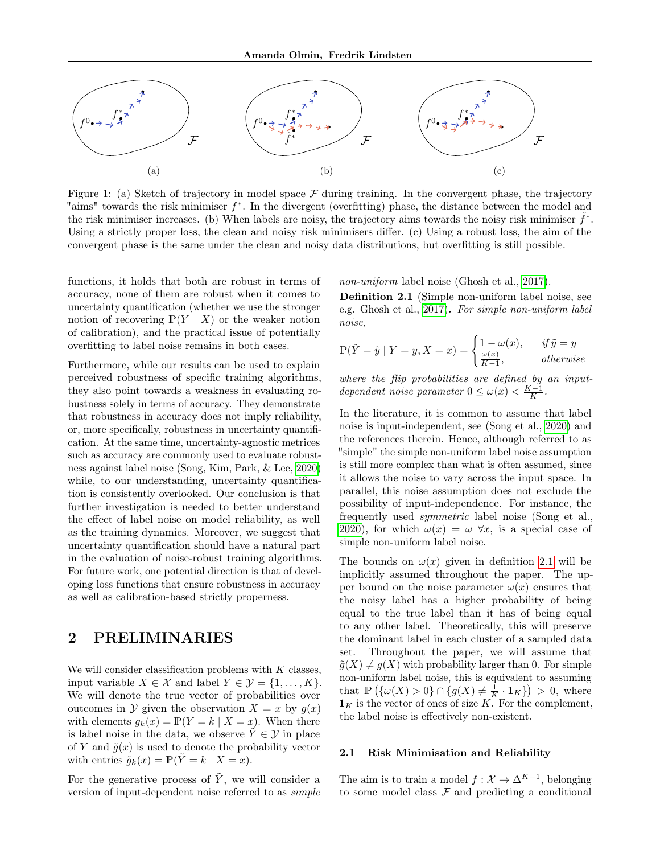<span id="page-2-0"></span>

Figure 1: (a) Sketch of trajectory in model space  $\mathcal F$  during training. In the convergent phase, the trajectory "aims" towards the risk minimiser f ∗ . In the divergent (overfitting) phase, the distance between the model and the risk minimiser increases. (b) When labels are noisy, the trajectory aims towards the noisy risk minimiser  $\tilde{f}^*$ . Using a strictly proper loss, the clean and noisy risk minimisers differ. (c) Using a robust loss, the aim of the convergent phase is the same under the clean and noisy data distributions, but overfitting is still possible.

functions, it holds that both are robust in terms of accuracy, none of them are robust when it comes to uncertainty quantification (whether we use the stronger notion of recovering  $P(Y | X)$  or the weaker notion of calibration), and the practical issue of potentially overfitting to label noise remains in both cases.

Furthermore, while our results can be used to explain perceived robustness of specific training algorithms, they also point towards a weakness in evaluating robustness solely in terms of accuracy. They demonstrate that robustness in accuracy does not imply reliability, or, more specifically, robustness in uncertainty quantification. At the same time, uncertainty-agnostic metrices such as accuracy are commonly used to evaluate robustness against label noise (Song, Kim, Park, & Lee, [2020\)](#page-9-4) while, to our understanding, uncertainty quantification is consistently overlooked. Our conclusion is that further investigation is needed to better understand the effect of label noise on model reliability, as well as the training dynamics. Moreover, we suggest that uncertainty quantification should have a natural part in the evaluation of noise-robust training algorithms. For future work, one potential direction is that of developing loss functions that ensure robustness in accuracy as well as calibration-based strictly properness.

### 2 PRELIMINARIES

We will consider classification problems with  $K$  classes, input variable  $X \in \mathcal{X}$  and label  $Y \in \mathcal{Y} = \{1, \ldots, K\}.$ We will denote the true vector of probabilities over outcomes in Y given the observation  $X = x$  by  $q(x)$ with elements  $g_k(x) = P(Y = k | X = x)$ . When there is label noise in the data, we observe  $\tilde{Y} \in \mathcal{Y}$  in place of Y and  $\tilde{g}(x)$  is used to denote the probability vector with entries  $\tilde{g}_k(x) = \mathbb{P}(\tilde{Y} = k | X = x).$ 

For the generative process of  $\tilde{Y}$ , we will consider a version of input-dependent noise referred to as simple non-uniform label noise (Ghosh et al., [2017\)](#page-8-2).

<span id="page-2-1"></span>Definition 2.1 (Simple non-uniform label noise, see e.g. Ghosh et al., [2017\)](#page-8-2). For simple non-uniform label noise,

$$
\mathbb{P}(\tilde{Y} = \tilde{y} \mid Y = y, X = x) = \begin{cases} 1 - \omega(x), & \text{if } \tilde{y} = y \\ \frac{\omega(x)}{K - 1}, & \text{otherwise} \end{cases}
$$

where the flip probabilities are defined by an inputdependent noise parameter  $0 \leq \omega(x) < \frac{K-1}{K}$ .

In the literature, it is common to assume that label noise is input-independent, see (Song et al., [2020\)](#page-9-4) and the references therein. Hence, although referred to as "simple" the simple non-uniform label noise assumption is still more complex than what is often assumed, since it allows the noise to vary across the input space. In parallel, this noise assumption does not exclude the possibility of input-independence. For instance, the frequently used symmetric label noise (Song et al., [2020\)](#page-9-4), for which  $\omega(x) = \omega \,\forall x$ , is a special case of simple non-uniform label noise.

The bounds on  $\omega(x)$  given in definition [2.1](#page-2-1) will be implicitly assumed throughout the paper. The upper bound on the noise parameter  $\omega(x)$  ensures that the noisy label has a higher probability of being equal to the true label than it has of being equal to any other label. Theoretically, this will preserve the dominant label in each cluster of a sampled data set. Throughout the paper, we will assume that  $\tilde{g}(X) \neq g(X)$  with probability larger than 0. For simple non-uniform label noise, this is equivalent to assuming that  $\mathbb{P}(\{\omega(X) > 0\} \cap \{g(X) \neq \frac{1}{K} \cdot \mathbf{1}_K\}) > 0$ , where  $\mathbf{1}_K$  is the vector of ones of size K. For the complement, the label noise is effectively non-existent.

### 2.1 Risk Minimisation and Reliability

The aim is to train a model  $f: \mathcal{X} \to \Delta^{K-1}$ , belonging to some model class  $\mathcal F$  and predicting a conditional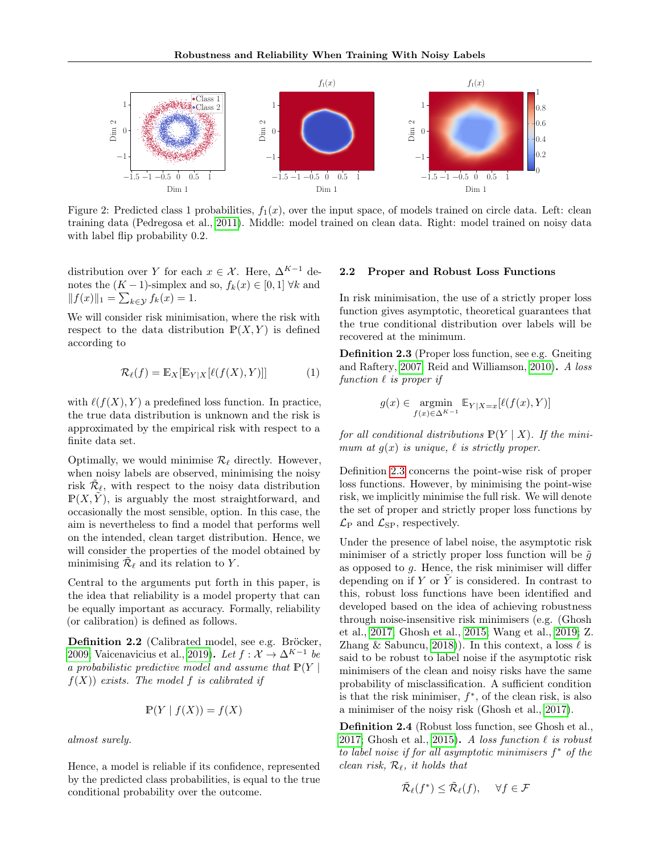<span id="page-3-1"></span>

Figure 2: Predicted class 1 probabilities,  $f_1(x)$ , over the input space, of models trained on circle data. Left: clean training data (Pedregosa et al., [2011\)](#page-9-5). Middle: model trained on clean data. Right: model trained on noisy data with label flip probability  $0.2$ .

distribution over Y for each  $x \in \mathcal{X}$ . Here,  $\Delta^{K-1}$  denotes the  $(K-1)$ -simplex and so,  $f_k(x) \in [0,1]$   $\forall k$  and  $||f(x)||_1 = \sum_{k \in \mathcal{Y}} f_k(x) = 1.$ 

We will consider risk minimisation, where the risk with respect to the data distribution  $\mathbb{P}(X, Y)$  is defined according to

$$
\mathcal{R}_{\ell}(f) = \mathbb{E}_X[\mathbb{E}_{Y|X}[\ell(f(X), Y)]] \tag{1}
$$

with  $\ell(f(X), Y)$  a predefined loss function. In practice, the true data distribution is unknown and the risk is approximated by the empirical risk with respect to a finite data set.

Optimally, we would minimise  $\mathcal{R}_{\ell}$  directly. However, when noisy labels are observed, minimising the noisy risk  $\tilde{\mathcal{R}}_{\ell}$ , with respect to the noisy data distribution  $\mathbb{P}(X, \tilde{Y})$ , is arguably the most straightforward, and occasionally the most sensible, option. In this case, the aim is nevertheless to find a model that performs well on the intended, clean target distribution. Hence, we will consider the properties of the model obtained by minimising  $\tilde{\mathcal{R}}_{\ell}$  and its relation to Y.

Central to the arguments put forth in this paper, is the idea that reliability is a model property that can be equally important as accuracy. Formally, reliability (or calibration) is defined as follows.

<span id="page-3-0"></span>Definition 2.2 (Calibrated model, see e.g. Bröcker, [2009;](#page-8-7) Vaicenavicius et al., [2019\)](#page-9-6). Let  $f: \mathcal{X} \to \Delta^{K-1}$  be a probabilistic predictive model and assume that  $\mathbb{P}(Y |$  $f(X)$  exists. The model f is calibrated if

$$
\mathbb{P}(Y \mid f(X)) = f(X)
$$

almost surely.

Hence, a model is reliable if its confidence, represented by the predicted class probabilities, is equal to the true conditional probability over the outcome.

### 2.2 Proper and Robust Loss Functions

In risk minimisation, the use of a strictly proper loss function gives asymptotic, theoretical guarantees that the true conditional distribution over labels will be recovered at the minimum.

<span id="page-3-2"></span>Definition 2.3 (Proper loss function, see e.g. Gneiting and Raftery, [2007;](#page-8-0) Reid and Williamson, [2010\)](#page-9-0). A loss function  $\ell$  is proper if

$$
g(x) \in \operatorname*{argmin}_{f(x) \in \Delta^{K-1}} \mathbb{E}_{Y|X=x}[\ell(f(x), Y)]
$$

for all conditional distributions  $P(Y | X)$ . If the minimum at  $g(x)$  is unique,  $\ell$  is strictly proper.

Definition [2.3](#page-3-2) concerns the point-wise risk of proper loss functions. However, by minimising the point-wise risk, we implicitly minimise the full risk. We will denote the set of proper and strictly proper loss functions by  $\mathcal{L}_{\text{P}}$  and  $\mathcal{L}_{\text{SP}}$ , respectively.

Under the presence of label noise, the asymptotic risk minimiser of a strictly proper loss function will be  $\tilde{g}$ as opposed to  $g$ . Hence, the risk minimiser will differ depending on if Y or  $\tilde{Y}$  is considered. In contrast to this, robust loss functions have been identified and developed based on the idea of achieving robustness through noise-insensitive risk minimisers (e.g. (Ghosh et al., [2017;](#page-8-2) Ghosh et al., [2015;](#page-8-3) Wang et al., [2019;](#page-9-1) Z. Zhang & Sabuncu, [2018\)](#page-9-2)). In this context, a loss  $\ell$  is said to be robust to label noise if the asymptotic risk minimisers of the clean and noisy risks have the same probability of misclassification. A sufficient condition is that the risk minimiser,  $f^*$ , of the clean risk, is also a minimiser of the noisy risk (Ghosh et al., [2017\)](#page-8-2).

<span id="page-3-3"></span>Definition 2.4 (Robust loss function, see Ghosh et al., [2017;](#page-8-2) Ghosh et al., [2015\)](#page-8-3). A loss function  $\ell$  is robust to label noise if for all asymptotic minimisers  $f^*$  of the clean risk,  $\mathcal{R}_{\ell}$ , it holds that

$$
\tilde{\mathcal{R}}_{\ell}(f^*) \leq \tilde{\mathcal{R}}_{\ell}(f), \quad \forall f \in \mathcal{F}
$$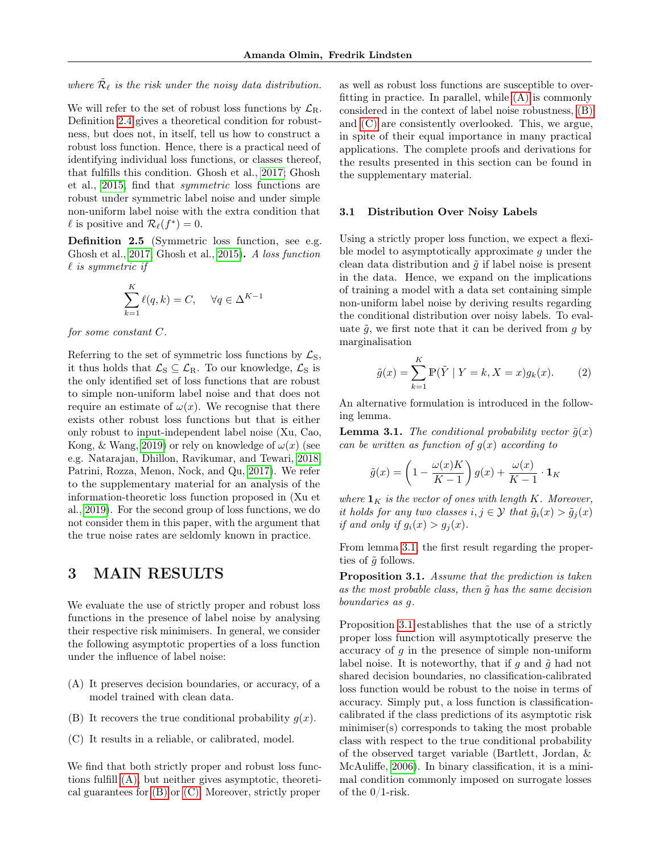where  $\tilde{\mathcal{R}}_{\ell}$  is the risk under the noisy data distribution.

We will refer to the set of robust loss functions by  $\mathcal{L}_{\text{R}}$ . Definition [2.4](#page-3-3) gives a theoretical condition for robustness, but does not, in itself, tell us how to construct a robust loss function. Hence, there is a practical need of identifying individual loss functions, or classes thereof, that fulfills this condition. Ghosh et al., [2017;](#page-8-2) Ghosh et al., [2015,](#page-8-3) find that symmetric loss functions are robust under symmetric label noise and under simple non-uniform label noise with the extra condition that  $\ell$  is positive and  $\mathcal{R}_{\ell}(f^*) = 0$ .

<span id="page-4-5"></span>Definition 2.5 (Symmetric loss function, see e.g. Ghosh et al., [2017;](#page-8-2) Ghosh et al., [2015\)](#page-8-3). A loss function  $\ell$  is symmetric if

$$
\sum_{k=1}^{K} \ell(q, k) = C, \quad \forall q \in \Delta^{K-1}
$$

for some constant C.

Referring to the set of symmetric loss functions by  $\mathcal{L}_S$ , it thus holds that  $\mathcal{L}_S \subseteq \mathcal{L}_R$ . To our knowledge,  $\mathcal{L}_S$  is the only identified set of loss functions that are robust to simple non-uniform label noise and that does not require an estimate of  $\omega(x)$ . We recognise that there exists other robust loss functions but that is either only robust to input-independent label noise (Xu, Cao, Kong, & Wang, [2019\)](#page-9-7) or rely on knowledge of  $\omega(x)$  (see e.g. Natarajan, Dhillon, Ravikumar, and Tewari, [2018;](#page-8-8) Patrini, Rozza, Menon, Nock, and Qu, [2017\)](#page-9-8). We refer to the supplementary material for an analysis of the information-theoretic loss function proposed in (Xu et al., [2019\)](#page-9-7). For the second group of loss functions, we do not consider them in this paper, with the argument that the true noise rates are seldomly known in practice.

## 3 MAIN RESULTS

We evaluate the use of strictly proper and robust loss functions in the presence of label noise by analysing their respective risk minimisers. In general, we consider the following asymptotic properties of a loss function under the influence of label noise:

- <span id="page-4-1"></span>(A) It preserves decision boundaries, or accuracy, of a model trained with clean data.
- <span id="page-4-2"></span>(B) It recovers the true conditional probability  $g(x)$ .
- <span id="page-4-3"></span>(C) It results in a reliable, or calibrated, model.

We find that both strictly proper and robust loss functions fulfill [\(A\),](#page-4-1) but neither gives asymptotic, theoretical guarantees for [\(B\)](#page-4-2) or [\(C\).](#page-4-3) Moreover, strictly proper as well as robust loss functions are susceptible to overfitting in practice. In parallel, while [\(A\)](#page-4-1) is commonly considered in the context of label noise robustness, [\(B\)](#page-4-2) and [\(C\)](#page-4-3) are consistently overlooked. This, we argue, in spite of their equal importance in many practical applications. The complete proofs and derivations for the results presented in this section can be found in the supplementary material.

### 3.1 Distribution Over Noisy Labels

Using a strictly proper loss function, we expect a flexible model to asymptotically approximate  $q$  under the clean data distribution and  $\tilde{q}$  if label noise is present in the data. Hence, we expand on the implications of training a model with a data set containing simple non-uniform label noise by deriving results regarding the conditional distribution over noisy labels. To evaluate  $\tilde{q}$ , we first note that it can be derived from q by marginalisation

$$
\tilde{g}(x) = \sum_{k=1}^{K} \mathbb{P}(\tilde{Y} \mid Y = k, X = x) g_k(x).
$$
 (2)

An alternative formulation is introduced in the following lemma.

<span id="page-4-4"></span>**Lemma 3.1.** The conditional probability vector  $\tilde{g}(x)$ can be written as function of  $g(x)$  according to

$$
\tilde{g}(x) = \left(1 - \frac{\omega(x)K}{K - 1}\right)g(x) + \frac{\omega(x)}{K - 1} \cdot \mathbf{1}_K
$$

where  $\mathbf{1}_K$  is the vector of ones with length K. Moreover, it holds for any two classes  $i, j \in \mathcal{Y}$  that  $\tilde{g}_i(x) > \tilde{g}_i(x)$ if and only if  $g_i(x) > g_j(x)$ .

From lemma [3.1,](#page-4-4) the first result regarding the properties of  $\tilde{q}$  follows.

<span id="page-4-0"></span>Proposition 3.1. Assume that the prediction is taken as the most probable class, then  $\tilde{q}$  has the same decision boundaries as g.

Proposition [3.1](#page-4-0) establishes that the use of a strictly proper loss function will asymptotically preserve the accuracy of  $g$  in the presence of simple non-uniform label noise. It is noteworthy, that if  $g$  and  $\tilde{g}$  had not shared decision boundaries, no classification-calibrated loss function would be robust to the noise in terms of accuracy. Simply put, a loss function is classificationcalibrated if the class predictions of its asymptotic risk minimiser(s) corresponds to taking the most probable class with respect to the true conditional probability of the observed target variable (Bartlett, Jordan, & McAuliffe, [2006\)](#page-8-9). In binary classification, it is a minimal condition commonly imposed on surrogate losses of the 0/1-risk.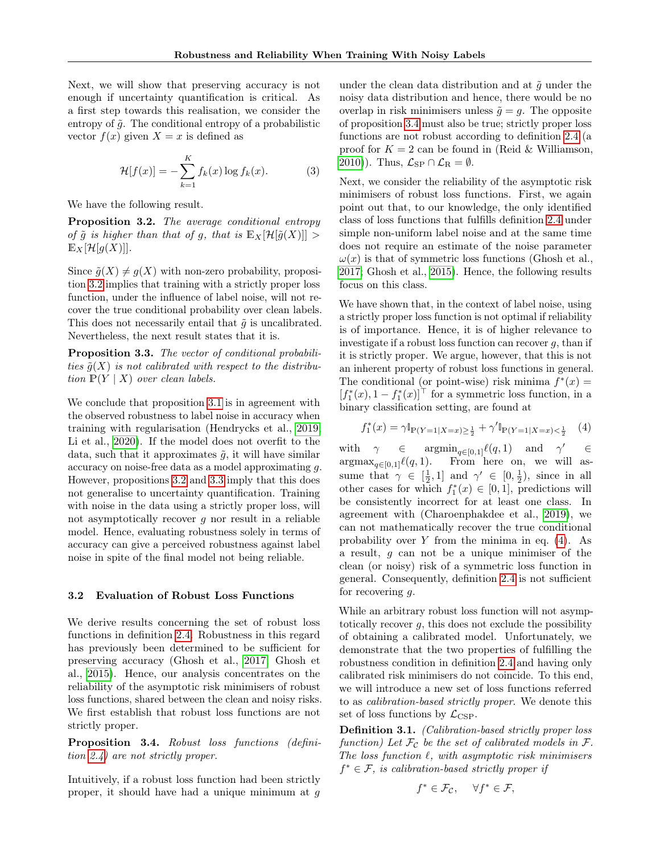Next, we will show that preserving accuracy is not enough if uncertainty quantification is critical. As a first step towards this realisation, we consider the entropy of  $\tilde{g}$ . The conditional entropy of a probabilistic vector  $f(x)$  given  $X = x$  is defined as

$$
\mathcal{H}[f(x)] = -\sum_{k=1}^{K} f_k(x) \log f_k(x). \tag{3}
$$

We have the following result.

<span id="page-5-0"></span>Proposition 3.2. The average conditional entropy of  $\tilde{g}$  is higher than that of g, that is  $\mathbb{E}_X[\mathcal{H}[\tilde{g}(X)]] >$  $\mathbb{E}_X[\mathcal{H}[g(X)]].$ 

Since  $\tilde{g}(X) \neq g(X)$  with non-zero probability, proposition [3.2](#page-5-0) implies that training with a strictly proper loss function, under the influence of label noise, will not recover the true conditional probability over clean labels. This does not necessarily entail that  $\tilde{q}$  is uncalibrated. Nevertheless, the next result states that it is.

<span id="page-5-1"></span>Proposition 3.3. The vector of conditional probabilities  $\tilde{g}(X)$  is not calibrated with respect to the distribution  $P(Y | X)$  over clean labels.

We conclude that proposition [3.1](#page-4-0) is in agreement with the observed robustness to label noise in accuracy when training with regularisation (Hendrycks et al., [2019;](#page-8-6) Li et al., [2020\)](#page-8-5). If the model does not overfit to the data, such that it approximates  $\tilde{g}$ , it will have similar accuracy on noise-free data as a model approximating g. However, propositions [3.2](#page-5-0) and [3.3](#page-5-1) imply that this does not generalise to uncertainty quantification. Training with noise in the data using a strictly proper loss, will not asymptotically recover  $g$  nor result in a reliable model. Hence, evaluating robustness solely in terms of accuracy can give a perceived robustness against label noise in spite of the final model not being reliable.

### 3.2 Evaluation of Robust Loss Functions

We derive results concerning the set of robust loss functions in definition [2.4.](#page-3-3) Robustness in this regard has previously been determined to be sufficient for preserving accuracy (Ghosh et al., [2017;](#page-8-2) Ghosh et al., [2015\)](#page-8-3). Hence, our analysis concentrates on the reliability of the asymptotic risk minimisers of robust loss functions, shared between the clean and noisy risks. We first establish that robust loss functions are not strictly proper.

<span id="page-5-2"></span>Proposition 3.4. Robust loss functions (definition [2.4\)](#page-3-3) are not strictly proper.

Intuitively, if a robust loss function had been strictly proper, it should have had a unique minimum at g under the clean data distribution and at  $\tilde{q}$  under the noisy data distribution and hence, there would be no overlap in risk minimisers unless  $\tilde{q} = q$ . The opposite of proposition [3.4](#page-5-2) must also be true; strictly proper loss functions are not robust according to definition [2.4](#page-3-3) (a proof for  $K = 2$  can be found in (Reid & Williamson, [2010\)](#page-9-0)). Thus,  $\mathcal{L}_{SP} \cap \mathcal{L}_{R} = \emptyset$ .

Next, we consider the reliability of the asymptotic risk minimisers of robust loss functions. First, we again point out that, to our knowledge, the only identified class of loss functions that fulfills definition [2.4](#page-3-3) under simple non-uniform label noise and at the same time does not require an estimate of the noise parameter  $\omega(x)$  is that of symmetric loss functions (Ghosh et al., [2017;](#page-8-2) Ghosh et al., [2015\)](#page-8-3). Hence, the following results focus on this class.

We have shown that, in the context of label noise, using a strictly proper loss function is not optimal if reliability is of importance. Hence, it is of higher relevance to investigate if a robust loss function can recover  $g$ , than if it is strictly proper. We argue, however, that this is not an inherent property of robust loss functions in general. The conditional (or point-wise) risk minima  $f^*(x) =$  $[f_1^*(x), 1 - f_1^*(x)]^\top$  for a symmetric loss function, in a binary classification setting, are found at

<span id="page-5-4"></span>
$$
f_1^*(x) = \gamma \mathbb{I}_{\mathbb{P}(Y=1|X=x) \ge \frac{1}{2}} + \gamma' \mathbb{I}_{\mathbb{P}(Y=1|X=x) < \frac{1}{2}} \quad (4)
$$

with  $\gamma \in \text{argmin}_{q \in [0,1]} \ell(q, 1)$  and  $\gamma' \in$  $\argmax_{q \in [0,1]} \ell(q, 1).$  From here on, we will assume that  $\gamma \in \left[\frac{1}{2}, 1\right]$  and  $\gamma' \in \left[0, \frac{1}{2}\right)$ , since in all other cases for which  $f_1^*(x) \in [0,1]$ , predictions will be consistently incorrect for at least one class. In agreement with (Charoenphakdee et al., [2019\)](#page-8-1), we can not mathematically recover the true conditional probability over Y from the minima in eq.  $(4)$ . As a result, g can not be a unique minimiser of the clean (or noisy) risk of a symmetric loss function in general. Consequently, definition [2.4](#page-3-3) is not sufficient for recovering  $q$ .

While an arbitrary robust loss function will not asymptotically recover  $q$ , this does not exclude the possibility of obtaining a calibrated model. Unfortunately, we demonstrate that the two properties of fulfilling the robustness condition in definition [2.4](#page-3-3) and having only calibrated risk minimisers do not coincide. To this end, we will introduce a new set of loss functions referred to as calibration-based strictly proper. We denote this set of loss functions by  $\mathcal{L}_{\mathrm{CSP}}$ .

<span id="page-5-3"></span>Definition 3.1. (Calibration-based strictly proper loss function) Let  $\mathcal{F}_{\mathcal{C}}$  be the set of calibrated models in  $\mathcal{F}$ . The loss function  $\ell$ , with asymptotic risk minimisers  $f^* \in \mathcal{F}$ , is calibration-based strictly proper if

$$
f^* \in \mathcal{F}_\mathcal{C}, \quad \forall f^* \in \mathcal{F},
$$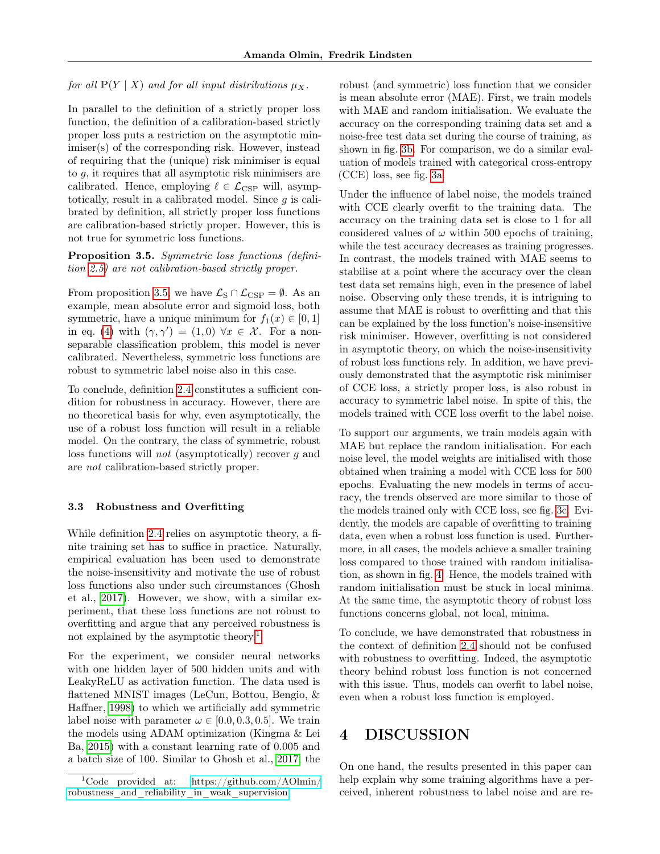for all  $\mathbb{P}(Y | X)$  and for all input distributions  $\mu_X$ .

In parallel to the definition of a strictly proper loss function, the definition of a calibration-based strictly proper loss puts a restriction on the asymptotic minimiser(s) of the corresponding risk. However, instead of requiring that the (unique) risk minimiser is equal to g, it requires that all asymptotic risk minimisers are calibrated. Hence, employing  $\ell \in \mathcal{L}_{\text{CSP}}$  will, asymptotically, result in a calibrated model. Since  $g$  is calibrated by definition, all strictly proper loss functions are calibration-based strictly proper. However, this is not true for symmetric loss functions.

<span id="page-6-0"></span>Proposition 3.5. Symmetric loss functions (definition [2.5\)](#page-4-5) are not calibration-based strictly proper.

From proposition [3.5,](#page-6-0) we have  $\mathcal{L}_{\text{S}} \cap \mathcal{L}_{\text{CSP}} = \emptyset$ . As an example, mean absolute error and sigmoid loss, both symmetric, have a unique minimum for  $f_1(x) \in [0, 1]$ in eq. [\(4\)](#page-5-4) with  $(\gamma, \gamma') = (1, 0) \,\forall x \in \mathcal{X}$ . For a nonseparable classification problem, this model is never calibrated. Nevertheless, symmetric loss functions are robust to symmetric label noise also in this case.

To conclude, definition [2.4](#page-3-3) constitutes a sufficient condition for robustness in accuracy. However, there are no theoretical basis for why, even asymptotically, the use of a robust loss function will result in a reliable model. On the contrary, the class of symmetric, robust loss functions will not (asymptotically) recover g and are not calibration-based strictly proper.

### <span id="page-6-1"></span>3.3 Robustness and Overfitting

While definition [2.4](#page-3-3) relies on asymptotic theory, a finite training set has to suffice in practice. Naturally, empirical evaluation has been used to demonstrate the noise-insensitivity and motivate the use of robust loss functions also under such circumstances (Ghosh et al., [2017\)](#page-8-2). However, we show, with a similar experiment, that these loss functions are not robust to overfitting and argue that any perceived robustness is not explained by the asymptotic theory.<sup>[1](#page-6-2)</sup>

For the experiment, we consider neural networks with one hidden layer of 500 hidden units and with LeakyReLU as activation function. The data used is flattened MNIST images (LeCun, Bottou, Bengio, & Haffner, [1998\)](#page-8-10) to which we artificially add symmetric label noise with parameter  $\omega \in [0.0, 0.3, 0.5]$ . We train the models using ADAM optimization (Kingma & Lei Ba, [2015\)](#page-8-11) with a constant learning rate of 0.005 and a batch size of 100. Similar to Ghosh et al., [2017,](#page-8-2) the robust (and symmetric) loss function that we consider is mean absolute error (MAE). First, we train models with MAE and random initialisation. We evaluate the accuracy on the corresponding training data set and a noise-free test data set during the course of training, as shown in fig. [3b.](#page-7-0) For comparison, we do a similar evaluation of models trained with categorical cross-entropy (CCE) loss, see fig. [3a.](#page-7-0)

Under the influence of label noise, the models trained with CCE clearly overfit to the training data. The accuracy on the training data set is close to 1 for all considered values of  $\omega$  within 500 epochs of training, while the test accuracy decreases as training progresses. In contrast, the models trained with MAE seems to stabilise at a point where the accuracy over the clean test data set remains high, even in the presence of label noise. Observing only these trends, it is intriguing to assume that MAE is robust to overfitting and that this can be explained by the loss function's noise-insensitive risk minimiser. However, overfitting is not considered in asymptotic theory, on which the noise-insensitivity of robust loss functions rely. In addition, we have previously demonstrated that the asymptotic risk minimiser of CCE loss, a strictly proper loss, is also robust in accuracy to symmetric label noise. In spite of this, the models trained with CCE loss overfit to the label noise.

To support our arguments, we train models again with MAE but replace the random initialisation. For each noise level, the model weights are initialised with those obtained when training a model with CCE loss for 500 epochs. Evaluating the new models in terms of accuracy, the trends observed are more similar to those of the models trained only with CCE loss, see fig. [3c.](#page-7-0) Evidently, the models are capable of overfitting to training data, even when a robust loss function is used. Furthermore, in all cases, the models achieve a smaller training loss compared to those trained with random initialisation, as shown in fig. [4.](#page-8-12) Hence, the models trained with random initialisation must be stuck in local minima. At the same time, the asymptotic theory of robust loss functions concerns global, not local, minima.

To conclude, we have demonstrated that robustness in the context of definition [2.4](#page-3-3) should not be confused with robustness to overfitting. Indeed, the asymptotic theory behind robust loss function is not concerned with this issue. Thus, models can overfit to label noise, even when a robust loss function is employed.

## 4 DISCUSSION

On one hand, the results presented in this paper can help explain why some training algorithms have a perceived, inherent robustness to label noise and are re-

<span id="page-6-2"></span><sup>1</sup>Code provided at: [https://github.com/AOlmin/](https://github.com/AOlmin/robustness_and_reliability_in_weak_supervision) [robustness\\_and\\_reliability\\_in\\_weak\\_supervision](https://github.com/AOlmin/robustness_and_reliability_in_weak_supervision)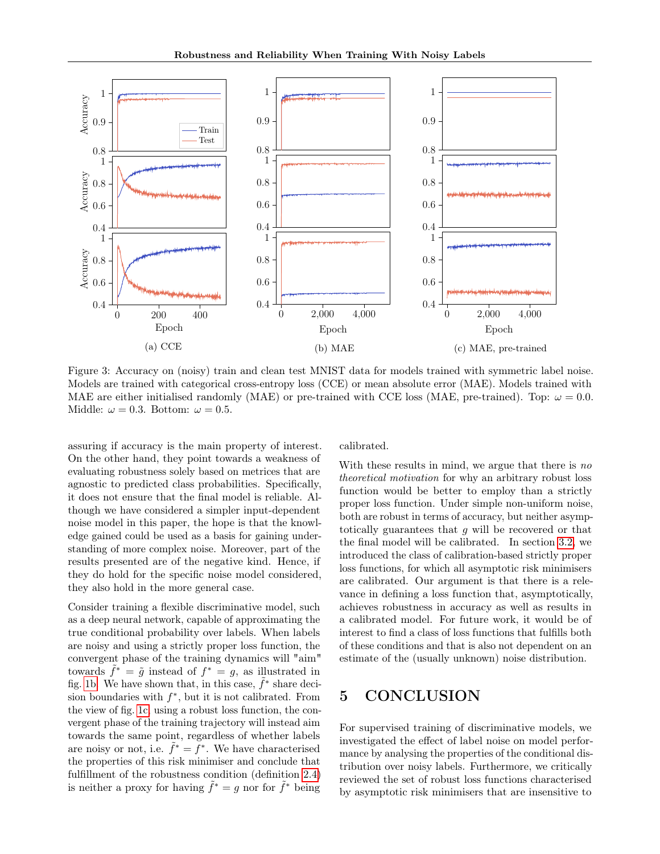<span id="page-7-0"></span>

Figure 3: Accuracy on (noisy) train and clean test MNIST data for models trained with symmetric label noise. Models are trained with categorical cross-entropy loss (CCE) or mean absolute error (MAE). Models trained with MAE are either initialised randomly (MAE) or pre-trained with CCE loss (MAE, pre-trained). Top:  $\omega = 0.0$ . Middle:  $\omega = 0.3$ . Bottom:  $\omega = 0.5$ .

assuring if accuracy is the main property of interest. On the other hand, they point towards a weakness of evaluating robustness solely based on metrices that are agnostic to predicted class probabilities. Specifically, it does not ensure that the final model is reliable. Although we have considered a simpler input-dependent noise model in this paper, the hope is that the knowledge gained could be used as a basis for gaining understanding of more complex noise. Moreover, part of the results presented are of the negative kind. Hence, if they do hold for the specific noise model considered, they also hold in the more general case.

Consider training a flexible discriminative model, such as a deep neural network, capable of approximating the true conditional probability over labels. When labels are noisy and using a strictly proper loss function, the convergent phase of the training dynamics will "aim" towards  $\tilde{f}^* = \tilde{g}$  instead of  $f^* = g$ , as illustrated in fig. [1b.](#page-2-0) We have shown that, in this case,  $\tilde{f}^*$  share decision boundaries with  $f^*$ , but it is not calibrated. From the view of fig. [1c,](#page-2-0) using a robust loss function, the convergent phase of the training trajectory will instead aim towards the same point, regardless of whether labels are noisy or not, i.e.  $\tilde{f}^* = \tilde{f}^*$ . We have characterised the properties of this risk minimiser and conclude that fulfillment of the robustness condition (definition [2.4\)](#page-3-3) is neither a proxy for having  $\tilde{f}^* = g$  nor for  $\tilde{f}^*$  being

calibrated.

With these results in mind, we argue that there is no theoretical motivation for why an arbitrary robust loss function would be better to employ than a strictly proper loss function. Under simple non-uniform noise, both are robust in terms of accuracy, but neither asymptotically guarantees that  $q$  will be recovered or that the final model will be calibrated. In section [3.2,](#page-5-4) we introduced the class of calibration-based strictly proper loss functions, for which all asymptotic risk minimisers are calibrated. Our argument is that there is a relevance in defining a loss function that, asymptotically, achieves robustness in accuracy as well as results in a calibrated model. For future work, it would be of interest to find a class of loss functions that fulfills both of these conditions and that is also not dependent on an estimate of the (usually unknown) noise distribution.

# 5 CONCLUSION

For supervised training of discriminative models, we investigated the effect of label noise on model performance by analysing the properties of the conditional distribution over noisy labels. Furthermore, we critically reviewed the set of robust loss functions characterised by asymptotic risk minimisers that are insensitive to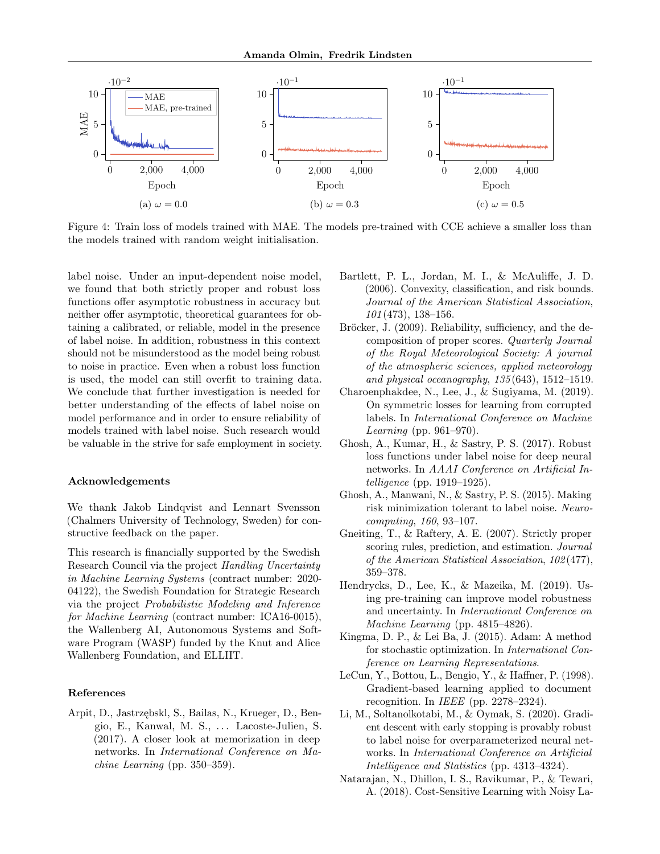<span id="page-8-12"></span>

Figure 4: Train loss of models trained with MAE. The models pre-trained with CCE achieve a smaller loss than the models trained with random weight initialisation.

label noise. Under an input-dependent noise model, we found that both strictly proper and robust loss functions offer asymptotic robustness in accuracy but neither offer asymptotic, theoretical guarantees for obtaining a calibrated, or reliable, model in the presence of label noise. In addition, robustness in this context should not be misunderstood as the model being robust to noise in practice. Even when a robust loss function is used, the model can still overfit to training data. We conclude that further investigation is needed for better understanding of the effects of label noise on model performance and in order to ensure reliability of models trained with label noise. Such research would be valuable in the strive for safe employment in society.

### Acknowledgements

We thank Jakob Lindqvist and Lennart Svensson (Chalmers University of Technology, Sweden) for constructive feedback on the paper.

This research is financially supported by the Swedish Research Council via the project Handling Uncertainty in Machine Learning Systems (contract number: 2020- 04122), the Swedish Foundation for Strategic Research via the project Probabilistic Modeling and Inference for Machine Learning (contract number: ICA16-0015), the Wallenberg AI, Autonomous Systems and Software Program (WASP) funded by the Knut and Alice Wallenberg Foundation, and ELLIIT.

### References

<span id="page-8-4"></span>Arpit, D., Jastrzębskl, S., Bailas, N., Krueger, D., Bengio, E., Kanwal, M. S., . . . Lacoste-Julien, S. (2017). A closer look at memorization in deep networks. In International Conference on Machine Learning (pp. 350–359).

- <span id="page-8-9"></span>Bartlett, P. L., Jordan, M. I., & McAuliffe, J. D. (2006). Convexity, classification, and risk bounds. Journal of the American Statistical Association, 101 (473), 138–156.
- <span id="page-8-7"></span>Bröcker, J. (2009). Reliability, sufficiency, and the decomposition of proper scores. Quarterly Journal of the Royal Meteorological Society: A journal of the atmospheric sciences, applied meteorology and physical oceanography, 135 (643), 1512–1519.
- <span id="page-8-1"></span>Charoenphakdee, N., Lee, J., & Sugiyama, M. (2019). On symmetric losses for learning from corrupted labels. In International Conference on Machine Learning (pp. 961–970).
- <span id="page-8-2"></span>Ghosh, A., Kumar, H., & Sastry, P. S. (2017). Robust loss functions under label noise for deep neural networks. In AAAI Conference on Artificial Intelligence (pp. 1919–1925).
- <span id="page-8-3"></span>Ghosh, A., Manwani, N., & Sastry, P. S. (2015). Making risk minimization tolerant to label noise. Neurocomputing, 160, 93–107.
- <span id="page-8-0"></span>Gneiting, T., & Raftery, A. E. (2007). Strictly proper scoring rules, prediction, and estimation. Journal of the American Statistical Association, 102 (477), 359–378.
- <span id="page-8-6"></span>Hendrycks, D., Lee, K., & Mazeika, M. (2019). Using pre-training can improve model robustness and uncertainty. In International Conference on Machine Learning (pp. 4815–4826).
- <span id="page-8-11"></span>Kingma, D. P., & Lei Ba, J. (2015). Adam: A method for stochastic optimization. In International Conference on Learning Representations.
- <span id="page-8-10"></span>LeCun, Y., Bottou, L., Bengio, Y., & Haffner, P. (1998). Gradient-based learning applied to document recognition. In IEEE (pp. 2278–2324).
- <span id="page-8-5"></span>Li, M., Soltanolkotabi, M., & Oymak, S. (2020). Gradient descent with early stopping is provably robust to label noise for overparameterized neural networks. In International Conference on Artificial Intelligence and Statistics (pp. 4313–4324).
- <span id="page-8-8"></span>Natarajan, N., Dhillon, I. S., Ravikumar, P., & Tewari, A. (2018). Cost-Sensitive Learning with Noisy La-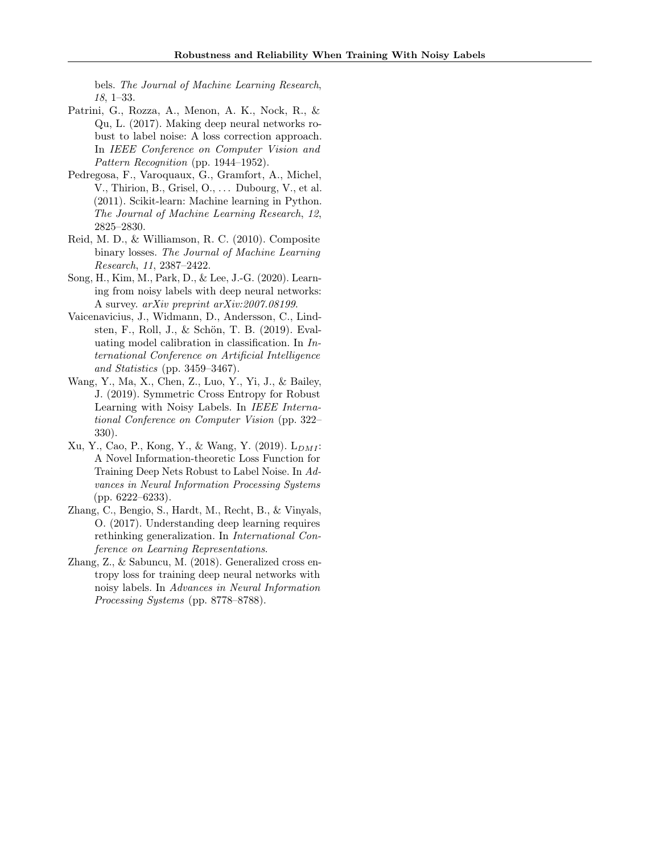bels. The Journal of Machine Learning Research, 18, 1–33.

- <span id="page-9-8"></span>Patrini, G., Rozza, A., Menon, A. K., Nock, R., & Qu, L. (2017). Making deep neural networks robust to label noise: A loss correction approach. In IEEE Conference on Computer Vision and Pattern Recognition (pp. 1944–1952).
- <span id="page-9-5"></span>Pedregosa, F., Varoquaux, G., Gramfort, A., Michel, V., Thirion, B., Grisel, O., ... Dubourg, V., et al. (2011). Scikit-learn: Machine learning in Python. The Journal of Machine Learning Research, 12, 2825–2830.
- <span id="page-9-0"></span>Reid, M. D., & Williamson, R. C. (2010). Composite binary losses. The Journal of Machine Learning Research, 11, 2387–2422.
- <span id="page-9-4"></span>Song, H., Kim, M., Park, D., & Lee, J.-G. (2020). Learning from noisy labels with deep neural networks: A survey. arXiv preprint arXiv:2007.08199.
- <span id="page-9-6"></span>Vaicenavicius, J., Widmann, D., Andersson, C., Lindsten, F., Roll, J., & Schön, T. B. (2019). Evaluating model calibration in classification. In International Conference on Artificial Intelligence and Statistics (pp. 3459–3467).
- <span id="page-9-1"></span>Wang, Y., Ma, X., Chen, Z., Luo, Y., Yi, J., & Bailey, J. (2019). Symmetric Cross Entropy for Robust Learning with Noisy Labels. In IEEE International Conference on Computer Vision (pp. 322– 330).
- <span id="page-9-7"></span> $Xu, Y., Cao, P., Kong, Y., & Wang, Y. (2019). L<sub>DMI</sub>$ A Novel Information-theoretic Loss Function for Training Deep Nets Robust to Label Noise. In Advances in Neural Information Processing Systems (pp. 6222–6233).
- <span id="page-9-3"></span>Zhang, C., Bengio, S., Hardt, M., Recht, B., & Vinyals, O. (2017). Understanding deep learning requires rethinking generalization. In International Conference on Learning Representations.
- <span id="page-9-2"></span>Zhang, Z., & Sabuncu, M. (2018). Generalized cross entropy loss for training deep neural networks with noisy labels. In Advances in Neural Information Processing Systems (pp. 8778–8788).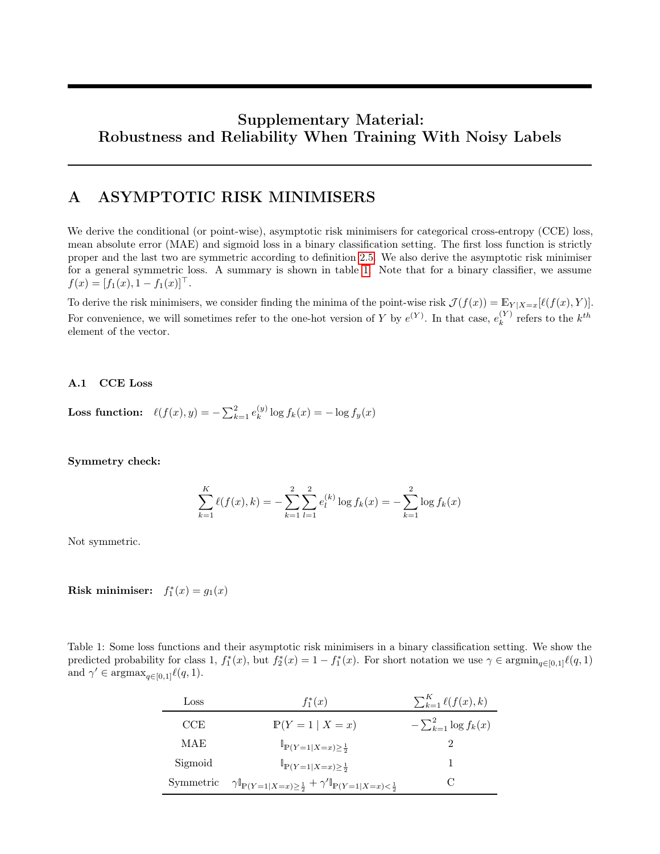# Supplementary Material: Robustness and Reliability When Training With Noisy Labels

## A ASYMPTOTIC RISK MINIMISERS

We derive the conditional (or point-wise), asymptotic risk minimisers for categorical cross-entropy (CCE) loss, mean absolute error (MAE) and sigmoid loss in a binary classification setting. The first loss function is strictly proper and the last two are symmetric according to definition [2.5.](#page-4-5) We also derive the asymptotic risk minimiser for a general symmetric loss. A summary is shown in table [1.](#page-10-0) Note that for a binary classifier, we assume  $f(x) = [f_1(x), 1 - f_1(x)]^{\top}.$ 

To derive the risk minimisers, we consider finding the minima of the point-wise risk  $\mathcal{J}(f(x)) = \mathbb{E}_{Y|X=x}[\ell(f(x), Y)].$ For convenience, we will sometimes refer to the one-hot version of Y by  $e^{(Y)}$ . In that case,  $e^{(Y)}_k$  $k^{(Y)}$  refers to the  $k^{th}$ element of the vector.

### A.1 CCE Loss

**Loss function:**  $\ell(f(x), y) = -\sum_{k=1}^{2} e_k^{(y)}$  $\int_{k}^{(y)} \log f_k(x) = -\log f_y(x)$ 

Symmetry check:

$$
\sum_{k=1}^{K} \ell(f(x), k) = -\sum_{k=1}^{2} \sum_{l=1}^{2} e_l^{(k)} \log f_k(x) = -\sum_{k=1}^{2} \log f_k(x)
$$

Not symmetric.

Risk minimiser:  $f_1^*(x) = g_1(x)$ 

<span id="page-10-0"></span>

| Table 1: Some loss functions and their asymptotic risk minimisers in a binary classification setting. We show the                                                    |  |
|----------------------------------------------------------------------------------------------------------------------------------------------------------------------|--|
| predicted probability for class 1, $f_1^*(x)$ , but $f_2^*(x) = 1 - f_1^*(x)$ . For short notation we use $\gamma \in \operatorname{argmin}_{a \in [0,1]} \ell(q,1)$ |  |
| and $\gamma' \in \text{argmax}_{q \in [0,1]} \ell(q, 1).$                                                                                                            |  |

| Loss      | $f_1^*(x)$                                                                                   | $\sum_{k=1}^K \ell(f(x),k)$ |
|-----------|----------------------------------------------------------------------------------------------|-----------------------------|
| CCE       | $P(Y=1   X=x)$                                                                               | $-\sum_{k=1}^2 \log f_k(x)$ |
| MAE       | $\mathbb{P}(Y=1 X=x) \geq \frac{1}{2}$                                                       |                             |
| Sigmoid   | $\mathbb{I}_{P(Y=1 X=x)>\frac{1}{2}}$                                                        |                             |
| Symmetric | $\gamma \mathbb{I}_{P(Y=1 X=x)\ge\frac{1}{2}} + \gamma' \mathbb{I}_{P(Y=1 X=x)<\frac{1}{2}}$ |                             |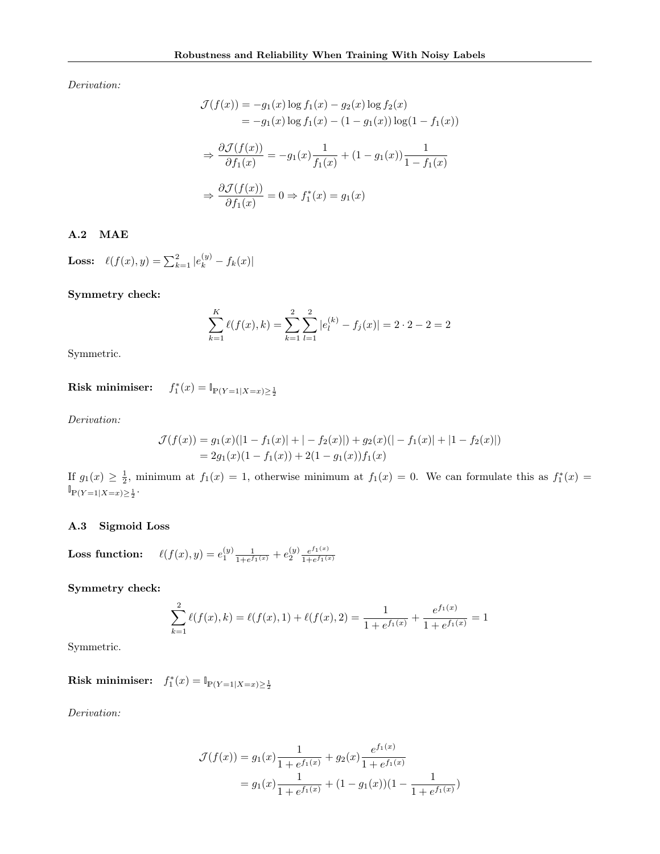Derivation:

$$
\mathcal{J}(f(x)) = -g_1(x) \log f_1(x) - g_2(x) \log f_2(x)
$$
  
\n
$$
= -g_1(x) \log f_1(x) - (1 - g_1(x)) \log(1 - f_1(x))
$$
  
\n
$$
\Rightarrow \frac{\partial \mathcal{J}(f(x))}{\partial f_1(x)} = -g_1(x) \frac{1}{f_1(x)} + (1 - g_1(x)) \frac{1}{1 - f_1(x)}
$$
  
\n
$$
\Rightarrow \frac{\partial \mathcal{J}(f(x))}{\partial f_1(x)} = 0 \Rightarrow f_1^*(x) = g_1(x)
$$

### A.2 MAE

**Loss:**  $\ell(f(x), y) = \sum_{k=1}^{2} |e_k^{(y)} - f_k(x)|$ 

Symmetry check:

$$
\sum_{k=1}^{K} \ell(f(x), k) = \sum_{k=1}^{2} \sum_{l=1}^{2} |e_l^{(k)} - f_j(x)| = 2 \cdot 2 - 2 = 2
$$

Symmetric.

Risk minimiser:  $f_1^*(x) = \mathbb{I}_{\mathbb{P}(Y=1|X=x) \geq \frac{1}{2}}$ 

Derivation:

$$
\mathcal{J}(f(x)) = g_1(x)(|1 - f_1(x)| + |-f_2(x)|) + g_2(x)(|-f_1(x)| + |1 - f_2(x)|)
$$
  
=  $2g_1(x)(1 - f_1(x)) + 2(1 - g_1(x))f_1(x)$ 

If  $g_1(x) \geq \frac{1}{2}$ , minimum at  $f_1(x) = 1$ , otherwise minimum at  $f_1(x) = 0$ . We can formulate this as  $f_1^*(x) =$  $\mathbb{I}_{\mathbb{P}(Y=1|X=x)\geq \frac{1}{2}}$ .

### A.3 Sigmoid Loss

**Loss function:**  $\ell(f(x), y) = e_1^{(y)} \frac{1}{1 + e^f}$  $\frac{1}{1+e^{f_1(x)}}+e^{(y)}_2\frac{e^{f_1(x)}}{1+e^{f_1(x)}}$  $1+e^{f_1(x)}$ 

Symmetry check:

$$
\sum_{k=1}^{2} \ell(f(x), k) = \ell(f(x), 1) + \ell(f(x), 2) = \frac{1}{1 + e^{f_1(x)}} + \frac{e^{f_1(x)}}{1 + e^{f_1(x)}} = 1
$$

Symmetric.

Risk minimiser:  $f_1^*(x) = \mathbb{I}_{\mathbb{P}(Y=1|X=x) \ge \frac{1}{2}}$ 

Derivation:

$$
\mathcal{J}(f(x)) = g_1(x) \frac{1}{1 + e^{f_1(x)}} + g_2(x) \frac{e^{f_1(x)}}{1 + e^{f_1(x)}}
$$

$$
= g_1(x) \frac{1}{1 + e^{f_1(x)}} + (1 - g_1(x))(1 - \frac{1}{1 + e^{f_1(x)}})
$$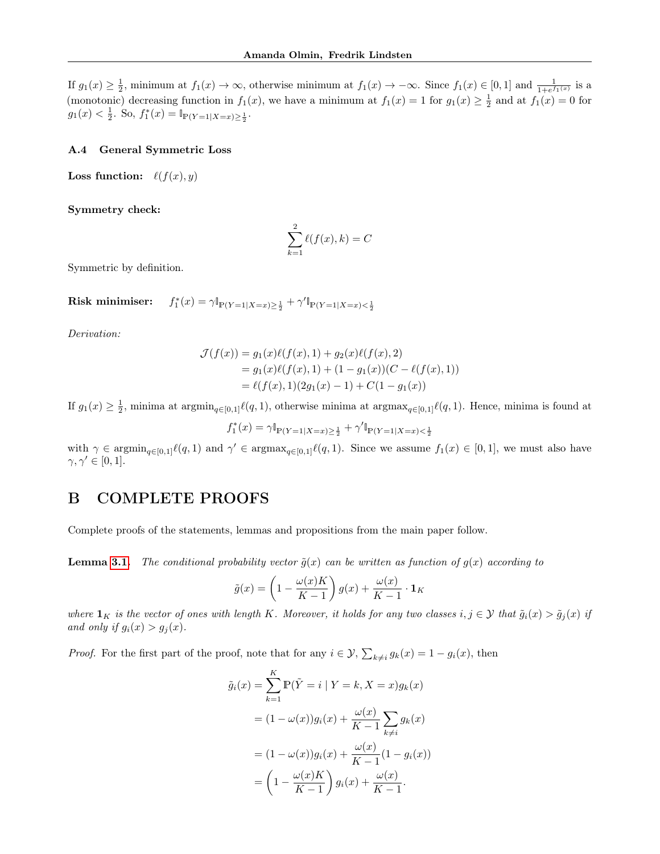If  $g_1(x) \geq \frac{1}{2}$ , minimum at  $f_1(x) \to \infty$ , otherwise minimum at  $f_1(x) \to -\infty$ . Since  $f_1(x) \in [0,1]$  and  $\frac{1}{1+e^{f_1(x)}}$  is a (monotonic) decreasing function in  $f_1(x)$ , we have a minimum at  $f_1(x) = 1$  for  $g_1(x) \ge \frac{1}{2}$  and at  $f_1(x) = 0$  for  $g_1(x) < \frac{1}{2}$ . So,  $f_1^*(x) = \mathbb{I}_{\mathbb{P}(Y=1|X=x) \ge \frac{1}{2}}$ .

#### A.4 General Symmetric Loss

**Loss function:**  $\ell(f(x), y)$ 

Symmetry check:

$$
\sum_{k=1}^{2} \ell(f(x), k) = C
$$

Symmetric by definition.

Risk minimiser:  $\gamma_1^*(x) = \gamma \mathbb{I}_{\mathbb{P}(Y=1|X=x) \ge \frac{1}{2}} + \gamma' \mathbb{I}_{\mathbb{P}(Y=1|X=x) < \frac{1}{2}}$ 

Derivation:

$$
\mathcal{J}(f(x)) = g_1(x)\ell(f(x), 1) + g_2(x)\ell(f(x), 2)
$$
  
=  $g_1(x)\ell(f(x), 1) + (1 - g_1(x))(C - \ell(f(x), 1))$   
=  $\ell(f(x), 1)(2g_1(x) - 1) + C(1 - g_1(x))$ 

If  $g_1(x) \geq \frac{1}{2}$ , minima at argmin<sub>q∈[0,1]</sub> $\ell(q, 1)$ , otherwise minima at argmax<sub>q∈[0,1]</sub> $\ell(q, 1)$ . Hence, minima is found at

$$
f_1^*(x) = \gamma \mathbb{I}_{\mathbb{P}(Y=1|X=x) \ge \frac{1}{2}} + \gamma' \mathbb{I}_{\mathbb{P}(Y=1|X=x) < \frac{1}{2}}
$$

with  $\gamma \in \operatorname{argmin}_{q \in [0,1]} \ell(q, 1)$  and  $\gamma' \in \operatorname{argmax}_{q \in [0,1]} \ell(q, 1)$ . Since we assume  $f_1(x) \in [0, 1]$ , we must also have  $\gamma, \gamma' \in [0, 1].$ 

## B COMPLETE PROOFS

Complete proofs of the statements, lemmas and propositions from the main paper follow.

**Lemma [3.1.](#page-4-4)** The conditional probability vector  $\tilde{g}(x)$  can be written as function of  $g(x)$  according to

$$
\tilde{g}(x) = \left(1 - \frac{\omega(x)K}{K-1}\right)g(x) + \frac{\omega(x)}{K-1} \cdot \mathbf{1}_K
$$

where  $\mathbf{1}_K$  is the vector of ones with length K. Moreover, it holds for any two classes  $i, j \in \mathcal{Y}$  that  $\tilde{g}_i(x) > \tilde{g}_j(x)$  if and only if  $g_i(x) > g_j(x)$ .

*Proof.* For the first part of the proof, note that for any  $i \in \mathcal{Y}$ ,  $\sum_{k \neq i} g_k(x) = 1 - g_i(x)$ , then

$$
\tilde{g}_i(x) = \sum_{k=1}^K \mathbb{P}(\tilde{Y} = i | Y = k, X = x) g_k(x)
$$

$$
= (1 - \omega(x)) g_i(x) + \frac{\omega(x)}{K - 1} \sum_{k \neq i} g_k(x)
$$

$$
= (1 - \omega(x)) g_i(x) + \frac{\omega(x)}{K - 1} (1 - g_i(x))
$$

$$
= \left(1 - \frac{\omega(x)K}{K - 1}\right) g_i(x) + \frac{\omega(x)}{K - 1}.
$$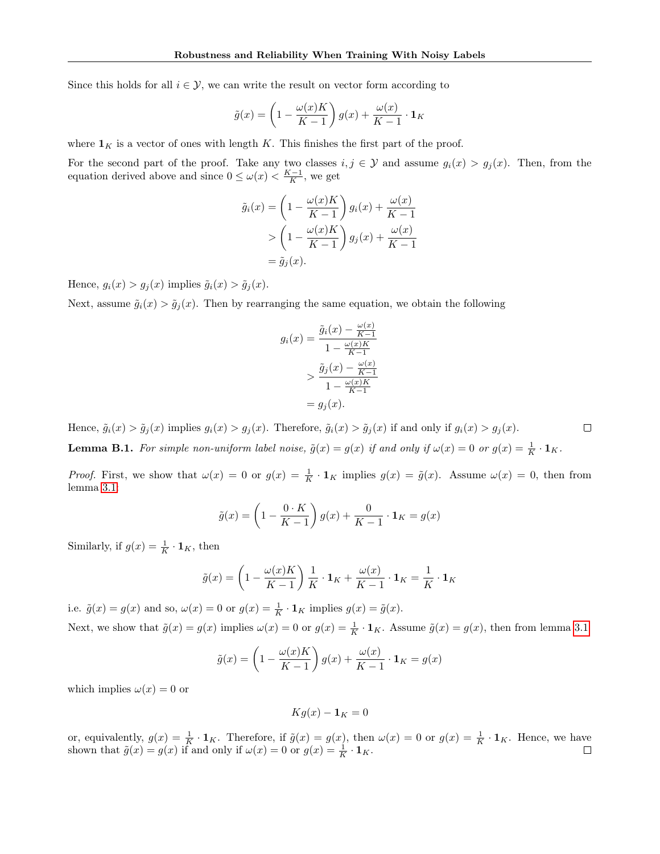Since this holds for all  $i \in \mathcal{Y}$ , we can write the result on vector form according to

$$
\tilde{g}(x) = \left(1 - \frac{\omega(x)K}{K - 1}\right)g(x) + \frac{\omega(x)}{K - 1} \cdot \mathbf{1}_K
$$

where  $\mathbf{1}_K$  is a vector of ones with length K. This finishes the first part of the proof.

For the second part of the proof. Take any two classes  $i, j \in \mathcal{Y}$  and assume  $g_i(x) > g_j(x)$ . Then, from the equation derived above and since  $0 \le \omega(x) < \frac{K-1}{K}$ , we get

$$
\tilde{g}_i(x) = \left(1 - \frac{\omega(x)K}{K-1}\right) g_i(x) + \frac{\omega(x)}{K-1}
$$

$$
> \left(1 - \frac{\omega(x)K}{K-1}\right) g_j(x) + \frac{\omega(x)}{K-1}
$$

$$
= \tilde{g}_j(x).
$$

Hence,  $g_i(x) > g_j(x)$  implies  $\tilde{g}_i(x) > \tilde{g}_j(x)$ .

Next, assume  $\tilde{g}_i(x) > \tilde{g}_j(x)$ . Then by rearranging the same equation, we obtain the following

$$
g_i(x) = \frac{\tilde{g}_i(x) - \frac{\omega(x)}{K-1}}{1 - \frac{\omega(x)K}{K-1}}
$$

$$
> \frac{\tilde{g}_j(x) - \frac{\omega(x)}{K-1}}{1 - \frac{\omega(x)K}{K-1}}
$$

$$
= g_j(x).
$$

Hence,  $\tilde{g}_i(x) > \tilde{g}_j(x)$  implies  $g_i(x) > g_j(x)$ . Therefore,  $\tilde{g}_i(x) > \tilde{g}_j(x)$  if and only if  $g_i(x) > g_j(x)$ .

<span id="page-13-0"></span>**Lemma B.1.** For simple non-uniform label noise,  $\tilde{g}(x) = g(x)$  if and only if  $\omega(x) = 0$  or  $g(x) = \frac{1}{K} \cdot \mathbf{1}_K$ .

*Proof.* First, we show that  $\omega(x) = 0$  or  $g(x) = \frac{1}{K} \cdot \mathbf{1}_K$  implies  $g(x) = \tilde{g}(x)$ . Assume  $\omega(x) = 0$ , then from lemma [3.1:](#page-4-4)

$$
\tilde{g}(x) = \left(1 - \frac{0 \cdot K}{K - 1}\right)g(x) + \frac{0}{K - 1} \cdot \mathbf{1}_K = g(x)
$$

Similarly, if  $g(x) = \frac{1}{K} \cdot \mathbf{1}_K$ , then

$$
\tilde{g}(x) = \left(1 - \frac{\omega(x)K}{K-1}\right)\frac{1}{K} \cdot \mathbf{1}_K + \frac{\omega(x)}{K-1} \cdot \mathbf{1}_K = \frac{1}{K} \cdot \mathbf{1}_K
$$

i.e.  $\tilde{g}(x) = g(x)$  and so,  $\omega(x) = 0$  or  $g(x) = \frac{1}{K} \cdot \mathbf{1}_K$  implies  $g(x) = \tilde{g}(x)$ . Next, we show that  $\tilde{g}(x) = g(x)$  implies  $\omega(x) = 0$  or  $g(x) = \frac{1}{K} \cdot \mathbf{1}_K$ . Assume  $\tilde{g}(x) = g(x)$ , then from lemma [3.1](#page-4-4)

$$
\tilde{g}(x) = \left(1 - \frac{\omega(x)K}{K-1}\right)g(x) + \frac{\omega(x)}{K-1} \cdot \mathbf{1}_K = g(x)
$$

which implies  $\omega(x) = 0$  or

 $Kg(x) - 1_K = 0$ 

or, equivalently,  $g(x) = \frac{1}{K} \cdot \mathbf{1}_K$ . Therefore, if  $\tilde{g}(x) = g(x)$ , then  $\omega(x) = 0$  or  $g(x) = \frac{1}{K} \cdot \mathbf{1}_K$ . Hence, we have shown that  $\tilde{g}(x) = g(x)$  if and only if  $\omega(x) = 0$  or  $g(x) = \frac{1}{K} \cdot \mathbf{1}_K$ .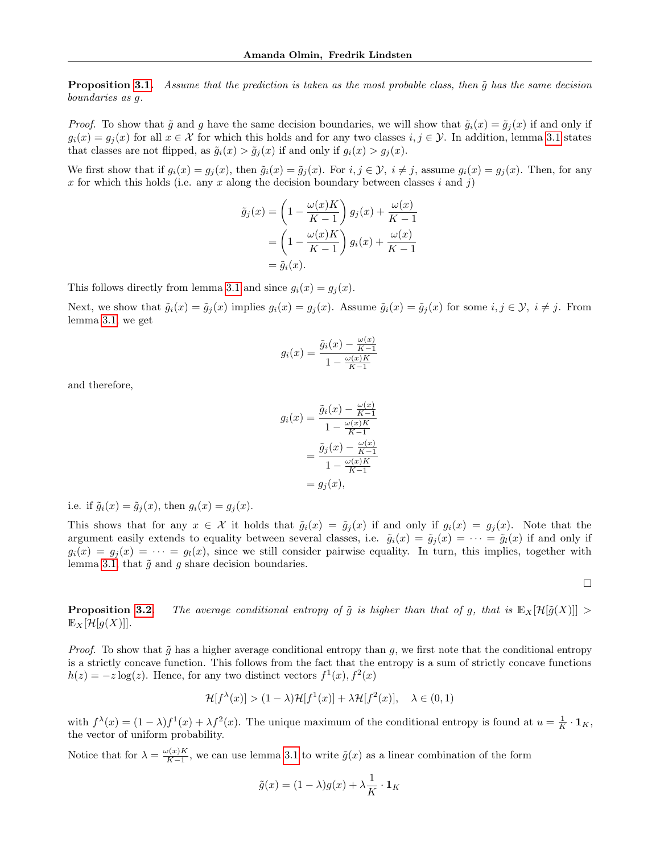**Proposition [3.1.](#page-4-0)** Assume that the prediction is taken as the most probable class, then  $\tilde{q}$  has the same decision boundaries as g.

*Proof.* To show that  $\tilde{g}$  and g have the same decision boundaries, we will show that  $\tilde{g}_i(x) = \tilde{g}_j(x)$  if and only if  $g_i(x) = g_i(x)$  for all  $x \in \mathcal{X}$  for which this holds and for any two classes  $i, j \in \mathcal{Y}$ . In addition, lemma [3.1](#page-4-4) states that classes are not flipped, as  $\tilde{g}_i(x) > \tilde{g}_j(x)$  if and only if  $g_i(x) > g_j(x)$ .

We first show that if  $g_i(x) = g_j(x)$ , then  $\tilde{g}_i(x) = \tilde{g}_j(x)$ . For  $i, j \in \mathcal{Y}$ ,  $i \neq j$ , assume  $g_i(x) = g_j(x)$ . Then, for any x for which this holds (i.e. any x along the decision boundary between classes  $i$  and  $j$ )

$$
\tilde{g}_j(x) = \left(1 - \frac{\omega(x)K}{K-1}\right)g_j(x) + \frac{\omega(x)}{K-1}
$$

$$
= \left(1 - \frac{\omega(x)K}{K-1}\right)g_i(x) + \frac{\omega(x)}{K-1}
$$

$$
= \tilde{g}_i(x).
$$

This follows directly from lemma [3.1](#page-4-4) and since  $g_i(x) = g_j(x)$ .

Next, we show that  $\tilde{g}_i(x) = \tilde{g}_j(x)$  implies  $g_i(x) = g_j(x)$ . Assume  $\tilde{g}_i(x) = \tilde{g}_j(x)$  for some  $i, j \in \mathcal{Y}$ ,  $i \neq j$ . From lemma [3.1,](#page-4-4) we get

$$
g_i(x) = \frac{\tilde{g}_i(x) - \frac{\omega(x)}{K-1}}{1 - \frac{\omega(x)K}{K-1}}
$$

and therefore,

$$
g_i(x) = \frac{\tilde{g}_i(x) - \frac{\omega(x)}{K-1}}{1 - \frac{\omega(x)K}{K-1}}
$$

$$
= \frac{\tilde{g}_j(x) - \frac{\omega(x)}{K-1}}{1 - \frac{\omega(x)K}{K-1}}
$$

$$
= g_j(x),
$$

i.e. if  $\tilde{g}_i(x) = \tilde{g}_i(x)$ , then  $g_i(x) = g_i(x)$ .

This shows that for any  $x \in \mathcal{X}$  it holds that  $\tilde{g}_i(x) = \tilde{g}_j(x)$  if and only if  $g_i(x) = g_j(x)$ . Note that the argument easily extends to equality between several classes, i.e.  $\tilde{g}_i(x) = \tilde{g}_i(x) = \cdots = \tilde{g}_l(x)$  if and only if  $g_i(x) = g_j(x) = \cdots = g_l(x)$ , since we still consider pairwise equality. In turn, this implies, together with lemma [3.1,](#page-4-4) that  $\tilde{g}$  and g share decision boundaries.

 $\Box$ 

**Proposition [3.2.](#page-5-0)** The average conditional entropy of  $\tilde{g}$  is higher than that of g, that is  $\mathbb{E}_X[\mathcal{H}[\tilde{g}(X)]] >$  $\mathbb{E}_X[\mathcal{H}[g(X)]].$ 

*Proof.* To show that  $\tilde{g}$  has a higher average conditional entropy than g, we first note that the conditional entropy is a strictly concave function. This follows from the fact that the entropy is a sum of strictly concave functions  $h(z) = -z \log(z)$ . Hence, for any two distinct vectors  $f^{(1)}(x)$ ,  $f^{(2)}(x)$ 

$$
\mathcal{H}[f^{\lambda}(x)] > (1 - \lambda)\mathcal{H}[f^{1}(x)] + \lambda \mathcal{H}[f^{2}(x)], \quad \lambda \in (0, 1)
$$

with  $f^{\lambda}(x) = (1 - \lambda)f^{1}(x) + \lambda f^{2}(x)$ . The unique maximum of the conditional entropy is found at  $u = \frac{1}{K} \cdot \mathbf{1}_{K}$ , the vector of uniform probability.

Notice that for  $\lambda = \frac{\omega(x)K}{K-1}$  $\frac{\partial f(x)K}{\partial f(x)}$ , we can use lemma [3.1](#page-4-4) to write  $\tilde{g}(x)$  as a linear combination of the form

$$
\tilde{g}(x) = (1 - \lambda)g(x) + \lambda \frac{1}{K} \cdot \mathbf{1}_K
$$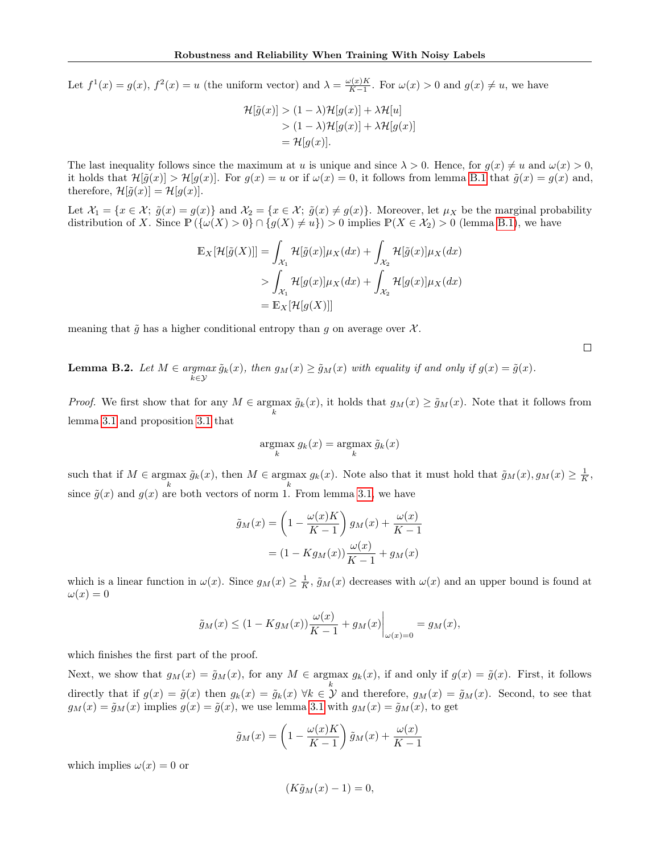Let  $f^1(x) = g(x), f^2(x) = u$  (the uniform vector) and  $\lambda = \frac{\omega(x)K}{K-1}$  $\frac{\partial(x)K}{\partial(x-1)}$ . For  $\omega(x) > 0$  and  $g(x) \neq u$ , we have

$$
\mathcal{H}[\tilde{g}(x)] > (1 - \lambda)\mathcal{H}[g(x)] + \lambda\mathcal{H}[u]
$$
  
> 
$$
(1 - \lambda)\mathcal{H}[g(x)] + \lambda\mathcal{H}[g(x)]
$$
  
= 
$$
\mathcal{H}[g(x)].
$$

The last inequality follows since the maximum at u is unique and since  $\lambda > 0$ . Hence, for  $q(x) \neq u$  and  $\omega(x) > 0$ , it holds that  $\mathcal{H}[\tilde{g}(x)] > \mathcal{H}[g(x)]$ . For  $g(x) = u$  or if  $\omega(x) = 0$ , it follows from lemma [B.1](#page-13-0) that  $\tilde{g}(x) = g(x)$  and, therefore,  $\mathcal{H}[\tilde{g}(x)] = \mathcal{H}[g(x)].$ 

Let  $\mathcal{X}_1 = \{x \in \mathcal{X}; \ \tilde{g}(x) = g(x)\}\$  and  $\mathcal{X}_2 = \{x \in \mathcal{X}; \ \tilde{g}(x) \neq g(x)\}\$ . Moreover, let  $\mu_X$  be the marginal probability distribution of X. Since  $\mathbb{P}(\{\omega(X) > 0\} \cap \{g(X) \neq u\}) > 0$  implies  $\mathbb{P}(X \in \mathcal{X}_2) > 0$  (lemma [B.1\)](#page-13-0), we have

$$
\mathbb{E}_X[\mathcal{H}[\tilde{g}(X)]] = \int_{\mathcal{X}_1} \mathcal{H}[\tilde{g}(x)] \mu_X(dx) + \int_{\mathcal{X}_2} \mathcal{H}[\tilde{g}(x)] \mu_X(dx)
$$
  
> 
$$
\int_{\mathcal{X}_1} \mathcal{H}[g(x)] \mu_X(dx) + \int_{\mathcal{X}_2} \mathcal{H}[g(x)] \mu_X(dx)
$$
  
= 
$$
\mathbb{E}_X[\mathcal{H}[g(X)]]
$$

meaning that  $\tilde{g}$  has a higher conditional entropy than g on average over  $\mathcal{X}$ .

 $\Box$ 

<span id="page-15-0"></span>**Lemma B.2.** Let  $M \in \underset{k \in \mathcal{Y}}{argmax} \tilde{g}_k(x)$ , then  $g_M(x) \geq \tilde{g}_M(x)$  with equality if and only if  $g(x) = \tilde{g}(x)$ .

*Proof.* We first show that for any  $M \in \operatorname{argmax}_{k} \tilde{g}_k(x)$ , it holds that  $g_M(x) \ge \tilde{g}_M(x)$ . Note that it follows from lemma [3.1](#page-4-4) and proposition [3.1](#page-4-0) that

$$
\mathop{\mathrm{argmax}}_k g_k(x) = \mathop{\mathrm{argmax}}_k \tilde{g}_k(x)
$$

such that if  $M \in \underset{k}{\operatorname{argmax}} \tilde{g}_k(x)$ , then  $M \in \underset{k}{\operatorname{argmax}} g_k(x)$ . Note also that it must hold that  $\tilde{g}_M(x), g_M(x) \geq \frac{1}{K}$ , since  $\tilde{g}(x)$  and  $g(x)$  are both vectors of norm 1. From lemma [3.1,](#page-4-4) we have

$$
\tilde{g}_M(x) = \left(1 - \frac{\omega(x)K}{K - 1}\right)g_M(x) + \frac{\omega(x)}{K - 1}
$$

$$
= (1 - Kg_M(x))\frac{\omega(x)}{K - 1} + g_M(x)
$$

which is a linear function in  $\omega(x)$ . Since  $g_M(x) \geq \frac{1}{K}$ ,  $\tilde{g}_M(x)$  decreases with  $\omega(x)$  and an upper bound is found at  $\omega(x) = 0$ 

$$
\tilde{g}_M(x) \le (1 - Kg_M(x)) \frac{\omega(x)}{K - 1} + g_M(x) \Big|_{\omega(x) = 0} = g_M(x),
$$

which finishes the first part of the proof.

Next, we show that  $g_M(x) = \tilde{g}_M(x)$ , for any  $M \in \text{argmax } g_k(x)$ , if and only if  $g(x) = \tilde{g}(x)$ . First, it follows directly that if  $g(x) = \tilde{g}(x)$  then  $g_k(x) = \tilde{g}_k(x)$   $\forall k \in \mathcal{Y}$  and therefore,  $g_M(x) = \tilde{g}_M(x)$ . Second, to see that  $g_M(x) = \tilde{g}_M(x)$  implies  $g(x) = \tilde{g}(x)$ , we use lemma [3.1](#page-4-4) with  $g_M(x) = \tilde{g}_M(x)$ , to get

$$
\tilde{g}_M(x) = \left(1 - \frac{\omega(x)K}{K - 1}\right)\tilde{g}_M(x) + \frac{\omega(x)}{K - 1}
$$

which implies  $\omega(x) = 0$  or

$$
(K\tilde{g}_M(x) - 1) = 0,
$$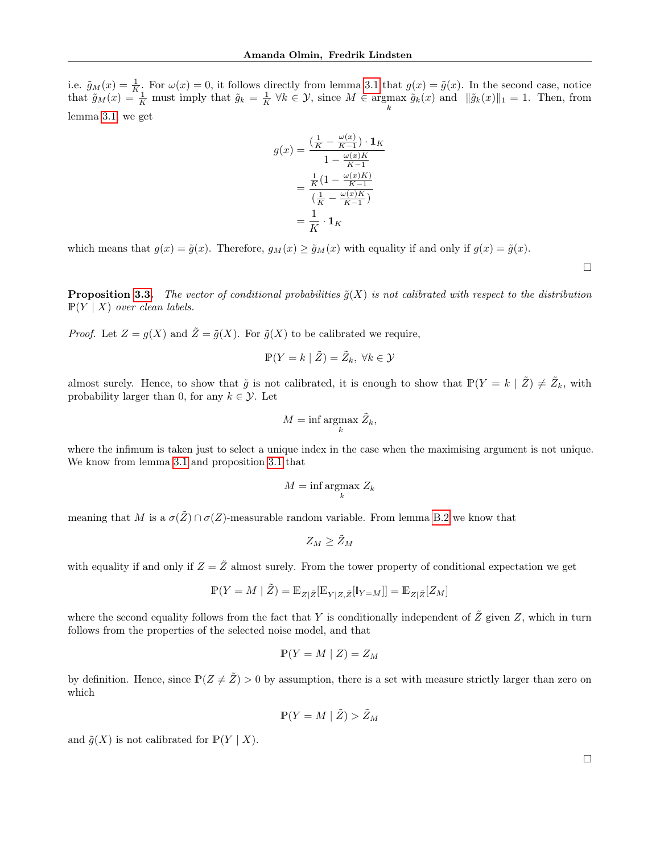i.e.  $\tilde{g}_M(x) = \frac{1}{K}$ . For  $\omega(x) = 0$ , it follows directly from lemma [3.1](#page-4-4) that  $g(x) = \tilde{g}(x)$ . In the second case, notice that  $\tilde{g}_M(x) = \frac{1}{K}$  must imply that  $\tilde{g}_k = \frac{1}{K} \forall k \in \mathcal{Y}$ , since  $M \in \text{argmax } \tilde{g}_k(x)$  and  $\|\tilde{g}_k(x)\|_1 = 1$ . Then, from k lemma [3.1,](#page-4-4) we get

$$
g(x) = \frac{\left(\frac{1}{K} - \frac{\omega(x)}{K-1}\right) \cdot \mathbf{1}_K}{1 - \frac{\omega(x)K}{K-1}}
$$

$$
= \frac{\frac{1}{K}\left(1 - \frac{\omega(x)K}{K-1}\right)}{\left(\frac{1}{K} - \frac{\omega(x)K}{K-1}\right)}
$$

$$
= \frac{1}{K} \cdot \mathbf{1}_K
$$

which means that  $g(x) = \tilde{g}(x)$ . Therefore,  $g_M(x) \ge \tilde{g}_M(x)$  with equality if and only if  $g(x) = \tilde{g}(x)$ .

**Proposition [3.3.](#page-5-1)** The vector of conditional probabilities  $\tilde{g}(X)$  is not calibrated with respect to the distribution  $\mathbb{P}(Y \mid X)$  over clean labels.

*Proof.* Let  $Z = g(X)$  and  $\tilde{Z} = \tilde{g}(X)$ . For  $\tilde{g}(X)$  to be calibrated we require,

$$
\mathbb{P}(Y = k \mid \tilde{Z}) = \tilde{Z}_k, \ \forall k \in \mathcal{Y}
$$

almost surely. Hence, to show that  $\tilde{g}$  is not calibrated, it is enough to show that  $\mathbb{P}(Y = k | \tilde{Z}) \neq \tilde{Z}_k$ , with probability larger than 0, for any  $k \in \mathcal{Y}$ . Let

$$
M = \inf_{k} \operatorname*{argmax}_{k} \tilde{Z}_{k},
$$

where the infimum is taken just to select a unique index in the case when the maximising argument is not unique. We know from lemma [3.1](#page-4-4) and proposition [3.1](#page-4-0) that

$$
M = \inf_k \operatorname*{argmax}_k Z_k
$$

meaning that M is a  $\sigma(\tilde{Z}) \cap \sigma(Z)$ -measurable random variable. From lemma [B.2](#page-15-0) we know that

$$
Z_M \geq \tilde Z_M
$$

with equality if and only if  $Z = \tilde{Z}$  almost surely. From the tower property of conditional expectation we get

$$
\mathbb{P}(Y = M \mid \tilde{Z}) = \mathbb{E}_{Z|\tilde{Z}}[\mathbb{E}_{Y|Z,\tilde{Z}}[\mathbb{I}_{Y=M}]] = \mathbb{E}_{Z|\tilde{Z}}[Z_M]
$$

where the second equality follows from the fact that Y is conditionally independent of  $\tilde{Z}$  given Z, which in turn follows from the properties of the selected noise model, and that

$$
\mathbb{P}(Y = M \mid Z) = Z_M
$$

by definition. Hence, since  $\mathbb{P}(Z \neq \tilde{Z}) > 0$  by assumption, there is a set with measure strictly larger than zero on which

$$
\mathbb{P}(Y = M \mid \tilde{Z}) > \tilde{Z}_M
$$

and  $\tilde{g}(X)$  is not calibrated for  $\mathbb{P}(Y \mid X)$ .

 $\Box$ 

 $\Box$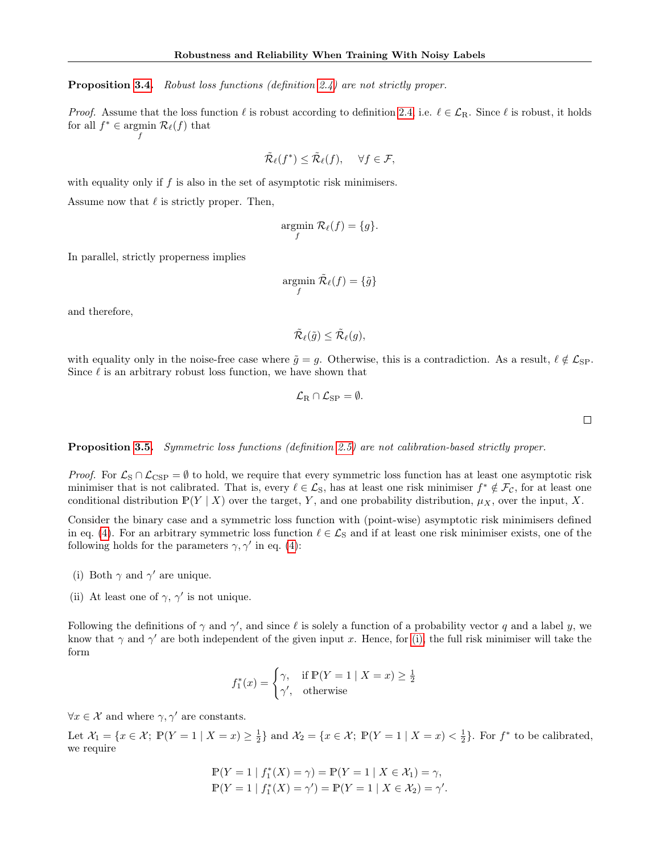**Proposition [3.4.](#page-5-2)** Robust loss functions (definition [2.4\)](#page-3-3) are not strictly proper.

*Proof.* Assume that the loss function  $\ell$  is robust according to definition [2.4,](#page-3-3) i.e.  $\ell \in \mathcal{L}_R$ . Since  $\ell$  is robust, it holds for all  $f^* \in \text{argmin } \mathcal{R}_{\ell}(f)$  that f

$$
\tilde{\mathcal{R}}_{\ell}(f^*) \leq \tilde{\mathcal{R}}_{\ell}(f), \quad \forall f \in \mathcal{F},
$$

with equality only if  $f$  is also in the set of asymptotic risk minimisers.

Assume now that  $\ell$  is strictly proper. Then,

$$
\operatorname*{argmin}_{f} \mathcal{R}_{\ell}(f) = \{g\}.
$$

In parallel, strictly properness implies

$$
\operatornamewithlimits{argmin}_f\, \tilde{\mathcal{R}}_\ell(f) = \{\tilde{g}\}
$$

and therefore,

$$
\tilde{\mathcal{R}}_{\ell}(\tilde{g}) \leq \tilde{\mathcal{R}}_{\ell}(g),
$$

with equality only in the noise-free case where  $\tilde{g} = g$ . Otherwise, this is a contradiction. As a result,  $\ell \notin \mathcal{L}_{SP}$ . Since  $\ell$  is an arbitrary robust loss function, we have shown that

$$
\mathcal{L}_{\mathrm{R}} \cap \mathcal{L}_{\mathrm{SP}} = \emptyset.
$$

 $\Box$ 

Proposition [3.5.](#page-6-0) Symmetric loss functions (definition [2.5\)](#page-4-5) are not calibration-based strictly proper.

*Proof.* For  $\mathcal{L}_{\text{S}} \cap \mathcal{L}_{\text{CSP}} = \emptyset$  to hold, we require that every symmetric loss function has at least one asymptotic risk minimiser that is not calibrated. That is, every  $\ell \in \mathcal{L}_S$ , has at least one risk minimiser  $f^* \notin \mathcal{F}_C$ , for at least one conditional distribution  $\mathbb{P}(Y | X)$  over the target, Y, and one probability distribution,  $\mu_X$ , over the input, X.

Consider the binary case and a symmetric loss function with (point-wise) asymptotic risk minimisers defined in eq. [\(4\)](#page-5-4). For an arbitrary symmetric loss function  $\ell \in \mathcal{L}_S$  and if at least one risk minimiser exists, one of the following holds for the parameters  $\gamma$ ,  $\gamma'$  in eq. [\(4\)](#page-5-4):

- <span id="page-17-0"></span>(i) Both  $\gamma$  and  $\gamma'$  are unique.
- <span id="page-17-1"></span>(ii) At least one of  $\gamma$ ,  $\gamma'$  is not unique.

Following the definitions of  $\gamma$  and  $\gamma'$ , and since  $\ell$  is solely a function of a probability vector q and a label y, we know that  $\gamma$  and  $\gamma'$  are both independent of the given input x. Hence, for [\(i\),](#page-17-0) the full risk minimiser will take the form

$$
f_1^*(x) = \begin{cases} \gamma, & \text{if } \mathbb{P}(Y = 1 \mid X = x) \ge \frac{1}{2} \\ \gamma', & \text{otherwise} \end{cases}
$$

 $\forall x \in \mathcal{X}$  and where  $\gamma, \gamma'$  are constants.

Let  $\mathcal{X}_1 = \{x \in \mathcal{X}; \ \mathbb{P}(Y = 1 \mid X = x) \ge \frac{1}{2}\}\$  and  $\mathcal{X}_2 = \{x \in \mathcal{X}; \ \mathbb{P}(Y = 1 \mid X = x) < \frac{1}{2}\}\.$  For  $f^*$  to be calibrated, we require

$$
\mathbb{P}(Y = 1 | f_1^*(X) = \gamma) = \mathbb{P}(Y = 1 | X \in \mathcal{X}_1) = \gamma,
$$
  

$$
\mathbb{P}(Y = 1 | f_1^*(X) = \gamma') = \mathbb{P}(Y = 1 | X \in \mathcal{X}_2) = \gamma'.
$$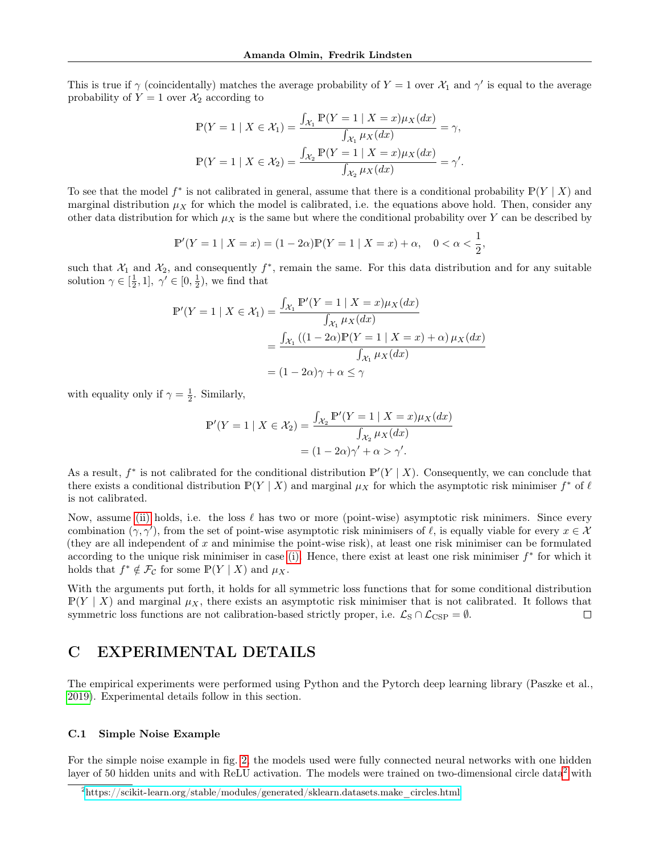This is true if  $\gamma$  (coincidentally) matches the average probability of  $Y = 1$  over  $\mathcal{X}_1$  and  $\gamma'$  is equal to the average probability of  $Y = 1$  over  $\mathcal{X}_2$  according to

$$
\mathbb{P}(Y = 1 \mid X \in \mathcal{X}_1) = \frac{\int_{\mathcal{X}_1} \mathbb{P}(Y = 1 \mid X = x) \mu_X(dx)}{\int_{\mathcal{X}_1} \mu_X(dx)} = \gamma,
$$
  

$$
\mathbb{P}(Y = 1 \mid X \in \mathcal{X}_2) = \frac{\int_{\mathcal{X}_2} \mathbb{P}(Y = 1 \mid X = x) \mu_X(dx)}{\int_{\mathcal{X}_2} \mu_X(dx)} = \gamma'.
$$

To see that the model  $f^*$  is not calibrated in general, assume that there is a conditional probability  $\mathbb{P}(Y | X)$  and marginal distribution  $\mu_X$  for which the model is calibrated, i.e. the equations above hold. Then, consider any other data distribution for which  $\mu_X$  is the same but where the conditional probability over Y can be described by

$$
\mathbb{P}'(Y=1 \mid X=x) = (1 - 2\alpha)\mathbb{P}(Y=1 \mid X=x) + \alpha, \quad 0 < \alpha < \frac{1}{2},
$$

such that  $\mathcal{X}_1$  and  $\mathcal{X}_2$ , and consequently  $f^*$ , remain the same. For this data distribution and for any suitable solution  $\gamma \in [\frac{1}{2}, 1], \gamma' \in [0, \frac{1}{2})$ , we find that

$$
\mathbb{P}'(Y = 1 \mid X \in \mathcal{X}_1) = \frac{\int_{\mathcal{X}_1} \mathbb{P}'(Y = 1 \mid X = x) \mu_X(dx)}{\int_{\mathcal{X}_1} \mu_X(dx)}
$$

$$
= \frac{\int_{\mathcal{X}_1} \left( (1 - 2\alpha) \mathbb{P}(Y = 1 \mid X = x) + \alpha \right) \mu_X(dx)}{\int_{\mathcal{X}_1} \mu_X(dx)}
$$

$$
= (1 - 2\alpha)\gamma + \alpha \le \gamma
$$

with equality only if  $\gamma = \frac{1}{2}$ . Similarly,

$$
\mathbb{P}'(Y=1 \mid X \in \mathcal{X}_2) = \frac{\int_{\mathcal{X}_2} \mathbb{P}'(Y=1 \mid X=x) \mu_X(dx)}{\int_{\mathcal{X}_2} \mu_X(dx)}
$$

$$
= (1 - 2\alpha)\gamma' + \alpha > \gamma'.
$$

As a result,  $f^*$  is not calibrated for the conditional distribution  $\mathbb{P}'(Y | X)$ . Consequently, we can conclude that there exists a conditional distribution  $\mathbb{P}(Y | X)$  and marginal  $\mu_X$  for which the asymptotic risk minimiser  $f^*$  of  $\ell$ is not calibrated.

Now, assume [\(ii\)](#page-17-1) holds, i.e. the loss  $\ell$  has two or more (point-wise) asymptotic risk minimers. Since every combination  $(\gamma, \gamma')$ , from the set of point-wise asymptotic risk minimisers of  $\ell$ , is equally viable for every  $x \in \mathcal{X}$ (they are all independent of  $x$  and minimise the point-wise risk), at least one risk minimiser can be formulated according to the unique risk minimiser in case [\(i\).](#page-17-0) Hence, there exist at least one risk minimiser  $f^*$  for which it holds that  $f^* \notin \mathcal{F}_{\mathcal{C}}$  for some  $\mathbb{P}(Y | X)$  and  $\mu_X$ .

With the arguments put forth, it holds for all symmetric loss functions that for some conditional distribution  $\mathbb{P}(Y | X)$  and marginal  $\mu_X$ , there exists an asymptotic risk minimiser that is not calibrated. It follows that symmetric loss functions are not calibration-based strictly proper, i.e.  $\mathcal{L}_{\text{S}} \cap \mathcal{L}_{\text{CSP}} = \emptyset$ .  $\Box$ 

### C EXPERIMENTAL DETAILS

The empirical experiments were performed using Python and the Pytorch deep learning library (Paszke et al., [2019\)](#page-20-0). Experimental details follow in this section.

### C.1 Simple Noise Example

For the simple noise example in fig. [2,](#page-3-1) the models used were fully connected neural networks with one hidden layer of 50 hidden units and with ReLU activation. The models were trained on two-dimensional circle data<sup>[2](#page-18-0)</sup> with

<span id="page-18-0"></span><sup>2</sup>[https://scikit-learn.org/stable/modules/generated/sklearn.datasets.make\\_circles.html](https://scikit-learn.org/stable/modules/generated/sklearn.datasets.make_circles.html)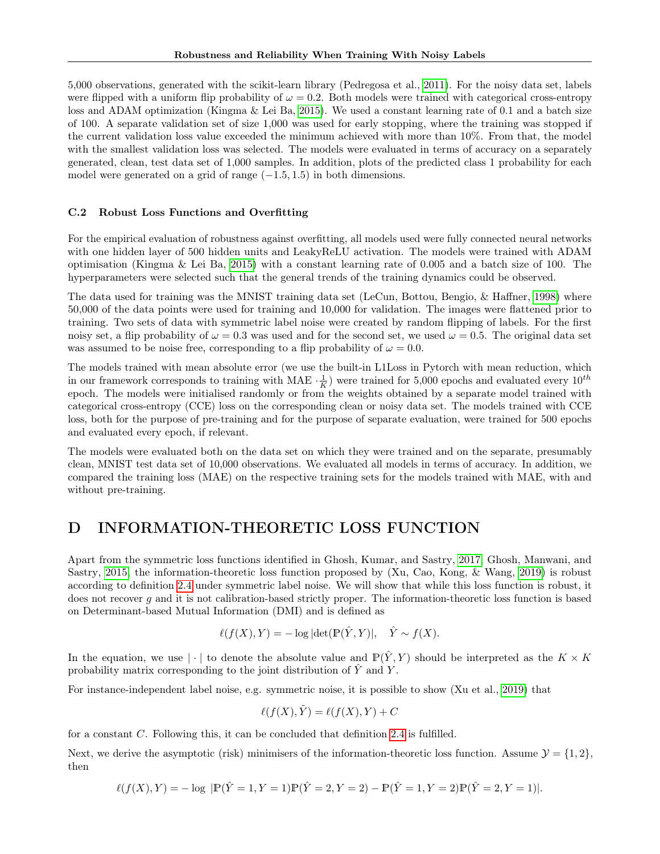5,000 observations, generated with the scikit-learn library (Pedregosa et al., [2011\)](#page-20-1). For the noisy data set, labels were flipped with a uniform flip probability of  $\omega = 0.2$ . Both models were trained with categorical cross-entropy loss and ADAM optimization (Kingma & Lei Ba, [2015\)](#page-20-2). We used a constant learning rate of 0.1 and a batch size of 100. A separate validation set of size 1,000 was used for early stopping, where the training was stopped if the current validation loss value exceeded the minimum achieved with more than 10%. From that, the model with the smallest validation loss was selected. The models were evaluated in terms of accuracy on a separately generated, clean, test data set of 1,000 samples. In addition, plots of the predicted class 1 probability for each model were generated on a grid of range  $(-1.5, 1.5)$  in both dimensions.

### C.2 Robust Loss Functions and Overfitting

For the empirical evaluation of robustness against overfitting, all models used were fully connected neural networks with one hidden layer of 500 hidden units and LeakyReLU activation. The models were trained with ADAM optimisation (Kingma & Lei Ba, [2015\)](#page-20-2) with a constant learning rate of 0.005 and a batch size of 100. The hyperparameters were selected such that the general trends of the training dynamics could be observed.

The data used for training was the MNIST training data set (LeCun, Bottou, Bengio, & Haffner, [1998\)](#page-20-3) where 50,000 of the data points were used for training and 10,000 for validation. The images were flattened prior to training. Two sets of data with symmetric label noise were created by random flipping of labels. For the first noisy set, a flip probability of  $\omega = 0.3$  was used and for the second set, we used  $\omega = 0.5$ . The original data set was assumed to be noise free, corresponding to a flip probability of  $\omega = 0.0$ .

The models trained with mean absolute error (we use the built-in L1Loss in Pytorch with mean reduction, which in our framework corresponds to training with MAE  $\cdot \frac{1}{K}$ ) were trained for 5,000 epochs and evaluated every  $10^{th}$ epoch. The models were initialised randomly or from the weights obtained by a separate model trained with categorical cross-entropy (CCE) loss on the corresponding clean or noisy data set. The models trained with CCE loss, both for the purpose of pre-training and for the purpose of separate evaluation, were trained for 500 epochs and evaluated every epoch, if relevant.

The models were evaluated both on the data set on which they were trained and on the separate, presumably clean, MNIST test data set of 10,000 observations. We evaluated all models in terms of accuracy. In addition, we compared the training loss (MAE) on the respective training sets for the models trained with MAE, with and without pre-training.

### D INFORMATION-THEORETIC LOSS FUNCTION

Apart from the symmetric loss functions identified in Ghosh, Kumar, and Sastry, [2017;](#page-20-4) Ghosh, Manwani, and Sastry, [2015,](#page-20-5) the information-theoretic loss function proposed by (Xu, Cao, Kong, & Wang, [2019\)](#page-20-6) is robust according to definition [2.4](#page-3-3) under symmetric label noise. We will show that while this loss function is robust, it does not recover  $g$  and it is not calibration-based strictly proper. The information-theoretic loss function is based on Determinant-based Mutual Information (DMI) and is defined as

$$
\ell(f(X), Y) = -\log|\det(\mathbb{P}(\hat{Y}, Y)|, \quad \hat{Y} \sim f(X).
$$

In the equation, we use  $|\cdot|$  to denote the absolute value and  $\mathbb{P}(\hat{Y}, Y)$  should be interpreted as the  $K \times K$ probability matrix corresponding to the joint distribution of  $\hat{Y}$  and Y.

For instance-independent label noise, e.g. symmetric noise, it is possible to show (Xu et al., [2019\)](#page-20-6) that

$$
\ell(f(X), \tilde{Y}) = \ell(f(X), Y) + C
$$

for a constant C. Following this, it can be concluded that definition [2.4](#page-3-3) is fulfilled.

Next, we derive the asymptotic (risk) minimisers of the information-theoretic loss function. Assume  $\mathcal{Y} = \{1, 2\}$ , then

$$
\ell(f(X),Y) = -\log |P(\hat{Y} = 1, Y = 1)P(\hat{Y} = 2, Y = 2) - P(\hat{Y} = 1, Y = 2)P(\hat{Y} = 2, Y = 1)|.
$$